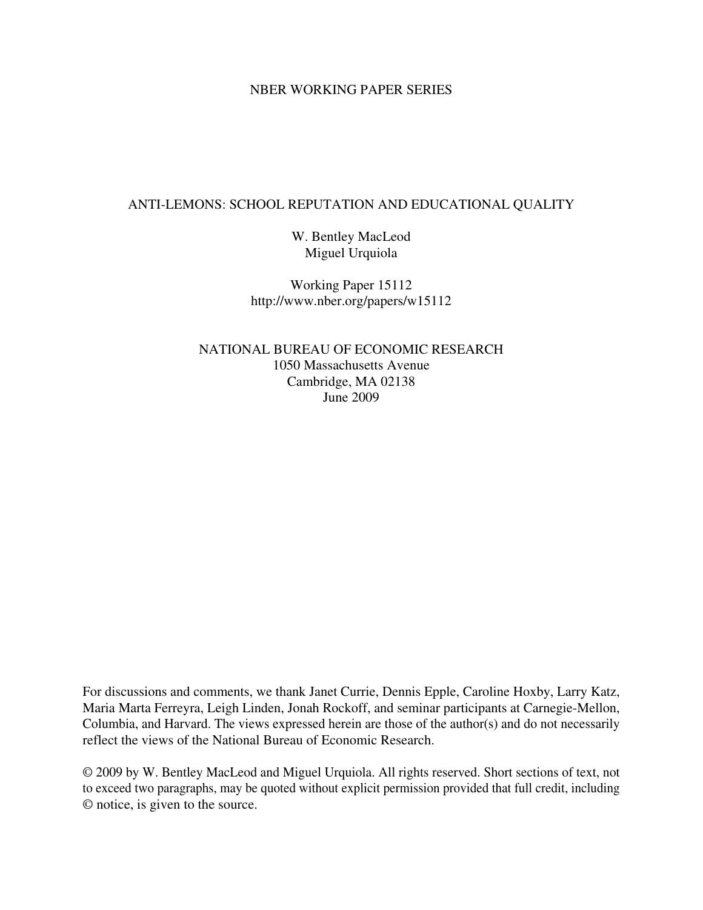# NBER WORKING PAPER SERIES

# ANTI-LEMONS: SCHOOL REPUTATION AND EDUCATIONAL QUALITY

W. Bentley MacLeod Miguel Urquiola

Working Paper 15112 http://www.nber.org/papers/w15112

NATIONAL BUREAU OF ECONOMIC RESEARCH 1050 Massachusetts Avenue Cambridge, MA 02138 June 2009

For discussions and comments, we thank Janet Currie, Dennis Epple, Caroline Hoxby, Larry Katz, Maria Marta Ferreyra, Leigh Linden, Jonah Rockoff, and seminar participants at Carnegie-Mellon, Columbia, and Harvard. The views expressed herein are those of the author(s) and do not necessarily reflect the views of the National Bureau of Economic Research.

© 2009 by W. Bentley MacLeod and Miguel Urquiola. All rights reserved. Short sections of text, not to exceed two paragraphs, may be quoted without explicit permission provided that full credit, including © notice, is given to the source.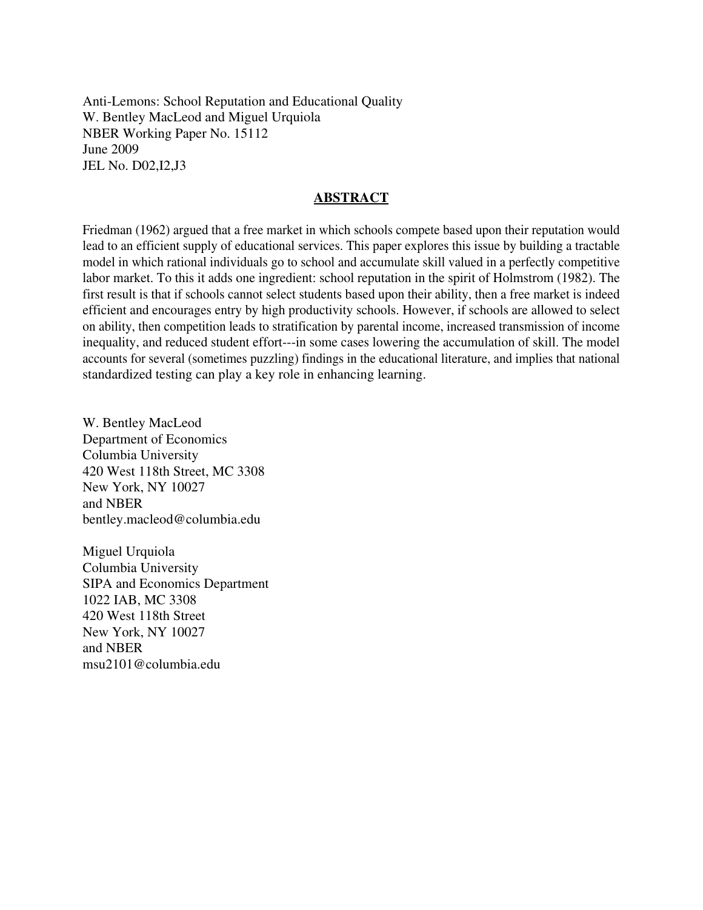Anti-Lemons: School Reputation and Educational Quality W. Bentley MacLeod and Miguel Urquiola NBER Working Paper No. 15112 June 2009 JEL No. D02,I2,J3

# **ABSTRACT**

Friedman (1962) argued that a free market in which schools compete based upon their reputation would lead to an efficient supply of educational services. This paper explores this issue by building a tractable model in which rational individuals go to school and accumulate skill valued in a perfectly competitive labor market. To this it adds one ingredient: school reputation in the spirit of Holmstrom (1982). The first result is that if schools cannot select students based upon their ability, then a free market is indeed efficient and encourages entry by high productivity schools. However, if schools are allowed to select on ability, then competition leads to stratification by parental income, increased transmission of income inequality, and reduced student effort---in some cases lowering the accumulation of skill. The model accounts for several (sometimes puzzling) findings in the educational literature, and implies that national standardized testing can play a key role in enhancing learning.

W. Bentley MacLeod Department of Economics Columbia University 420 West 118th Street, MC 3308 New York, NY 10027 and NBER bentley.macleod@columbia.edu

Miguel Urquiola Columbia University SIPA and Economics Department 1022 IAB, MC 3308 420 West 118th Street New York, NY 10027 and NBER msu2101@columbia.edu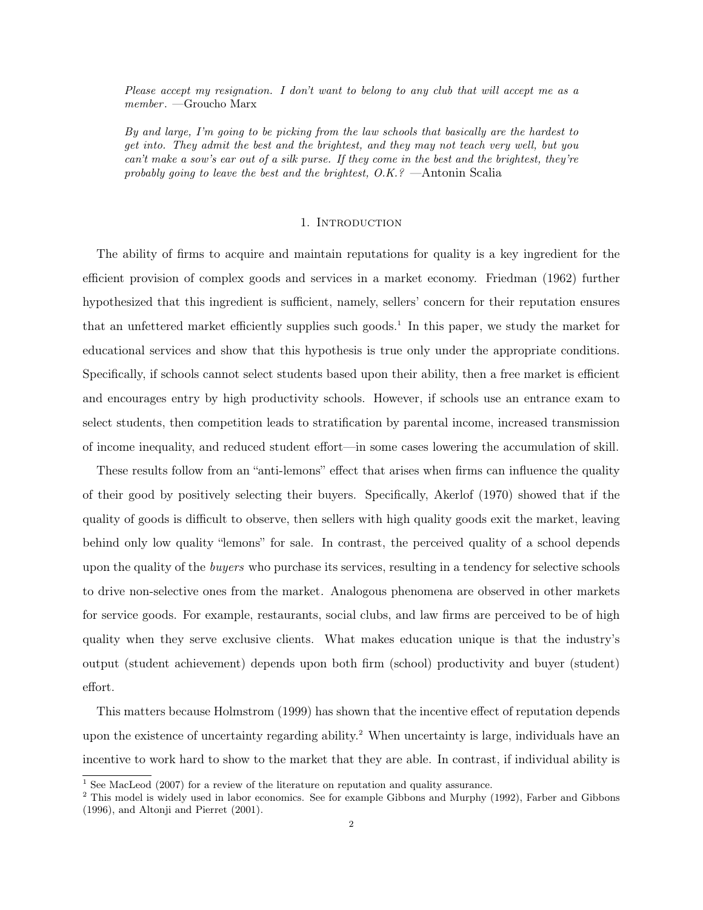Please accept my resignation. I don't want to belong to any club that will accept me as a  $member. - Groucho Marx$ 

By and large, I'm going to be picking from the law schools that basically are the hardest to get into. They admit the best and the brightest, and they may not teach very well, but you can't make a sow's ear out of a silk purse. If they come in the best and the brightest, they're probably going to leave the best and the brightest,  $O.K.^{2}$  -Antonin Scalia

### 1. INTRODUCTION

The ability of firms to acquire and maintain reputations for quality is a key ingredient for the efficient provision of complex goods and services in a market economy. Friedman (1962) further hypothesized that this ingredient is sufficient, namely, sellers' concern for their reputation ensures that an unfettered market efficiently supplies such goods.<sup>1</sup> In this paper, we study the market for educational services and show that this hypothesis is true only under the appropriate conditions. Specifically, if schools cannot select students based upon their ability, then a free market is efficient and encourages entry by high productivity schools. However, if schools use an entrance exam to select students, then competition leads to stratification by parental income, increased transmission of income inequality, and reduced student effort—in some cases lowering the accumulation of skill.

These results follow from an "anti-lemons" effect that arises when firms can influence the quality of their good by positively selecting their buyers. Specifically, Akerlof (1970) showed that if the quality of goods is difficult to observe, then sellers with high quality goods exit the market, leaving behind only low quality "lemons" for sale. In contrast, the perceived quality of a school depends upon the quality of the *buyers* who purchase its services, resulting in a tendency for selective schools to drive non-selective ones from the market*.* Analogous phenomena are observed in other markets for service goods. For example, restaurants, social clubs, and law firms are perceived to be of high quality when they serve exclusive clients. What makes education unique is that the industry's output (student achievement) depends upon both firm (school) productivity and buyer (student) effort.

This matters because Holmstrom (1999) has shown that the incentive effect of reputation depends upon the existence of uncertainty regarding ability. <sup>2</sup> When uncertainty is large, individuals have an incentive to work hard to show to the market that they are able. In contrast, if individual ability is

<sup>&</sup>lt;sup>1</sup> See MacLeod (2007) for a review of the literature on reputation and quality assurance.

<sup>&</sup>lt;sup>2</sup> This model is widely used in labor economics. See for example Gibbons and Murphy (1992), Farber and Gibbons (1996), and Altonji and Pierret (2001).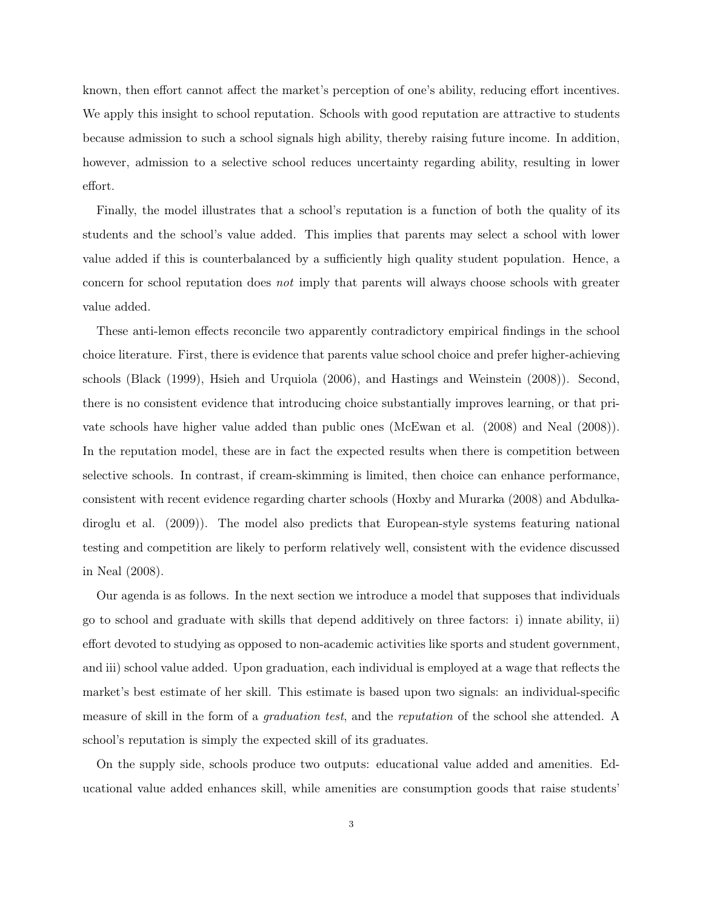known, then effort cannot affect the market's perception of one's ability, reducing effort incentives. We apply this insight to school reputation. Schools with good reputation are attractive to students because admission to such a school signals high ability, thereby raising future income. In addition, however, admission to a selective school reduces uncertainty regarding ability, resulting in lower effort.

Finally, the model illustrates that a school's reputation is a function of both the quality of its students and the school's value added. This implies that parents may select a school with lower value added if this is counterbalanced by a sufficiently high quality student population. Hence, a concern for school reputation does *not* imply that parents will always choose schools with greater value added.

These anti-lemon effects reconcile two apparently contradictory empirical findings in the school choice literature. First, there is evidence that parents value school choice and prefer higher-achieving schools (Black (1999), Hsieh and Urquiola (2006), and Hastings and Weinstein (2008)). Second, there is no consistent evidence that introducing choice substantially improves learning, or that private schools have higher value added than public ones (McEwan et al. (2008) and Neal (2008)). In the reputation model, these are in fact the expected results when there is competition between selective schools. In contrast, if cream-skimming is limited, then choice can enhance performance, consistent with recent evidence regarding charter schools (Hoxby and Murarka (2008) and Abdulkadiroglu et al. (2009)). The model also predicts that European-style systems featuring national testing and competition are likely to perform relatively well, consistent with the evidence discussed in Neal (2008).

Our agenda is as follows. In the next section we introduce a model that supposes that individuals go to school and graduate with skills that depend additively on three factors: i) innate ability, ii) effort devoted to studying as opposed to non-academic activities like sports and student government, and iii) school value added. Upon graduation, each individual is employed at a wage that reflects the market's best estimate of her skill. This estimate is based upon two signals: an individual-specific measure of skill in the form of a *graduation test*, and the *reputation* of the school she attended. A school's reputation is simply the expected skill of its graduates.

On the supply side, schools produce two outputs: educational value added and amenities. Educational value added enhances skill, while amenities are consumption goods that raise students'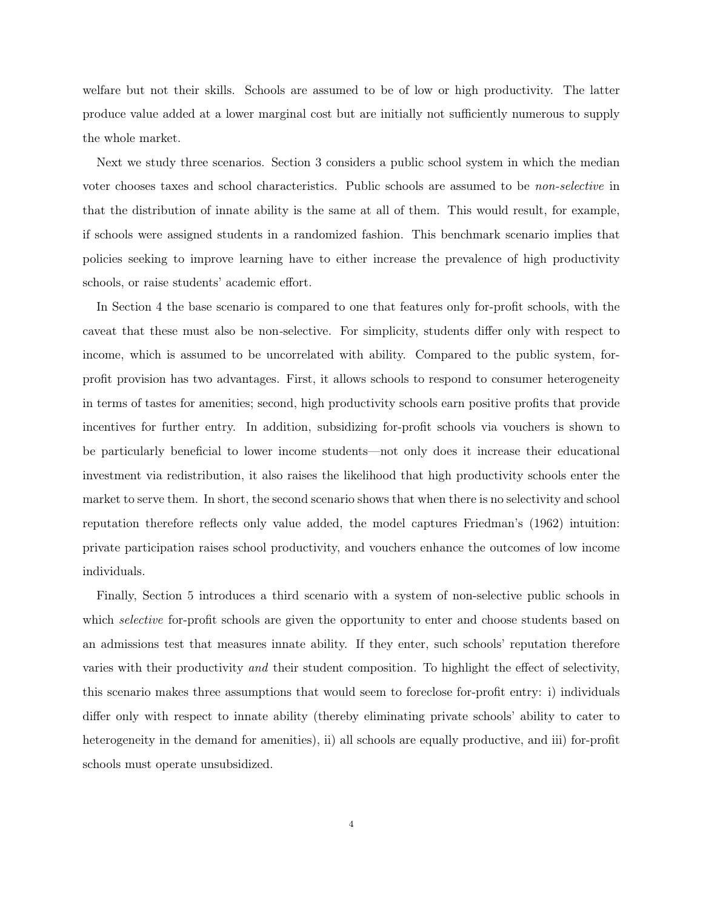welfare but not their skills. Schools are assumed to be of low or high productivity. The latter produce value added at a lower marginal cost but are initially not sufficiently numerous to supply the whole market.

Next we study three scenarios. Section 3 considers a public school system in which the median voter chooses taxes and school characteristics. Public schools are assumed to be *non-selective* in that the distribution of innate ability is the same at all of them. This would result, for example, if schools were assigned students in a randomized fashion. This benchmark scenario implies that policies seeking to improve learning have to either increase the prevalence of high productivity schools, or raise students' academic effort.

In Section 4 the base scenario is compared to one that features only for-profit schools, with the caveat that these must also be non*-*selective. For simplicity, students differ only with respect to income, which is assumed to be uncorrelated with ability. Compared to the public system, forprofit provision has two advantages. First, it allows schools to respond to consumer heterogeneity in terms of tastes for amenities; second, high productivity schools earn positive profits that provide incentives for further entry. In addition, subsidizing for-profit schools via vouchers is shown to be particularly beneficial to lower income students—not only does it increase their educational investment via redistribution, it also raises the likelihood that high productivity schools enter the market to serve them. In short, the second scenario shows that when there is no selectivity and school reputation therefore reflects only value added, the model captures Friedman's (1962) intuition: private participation raises school productivity, and vouchers enhance the outcomes of low income individuals.

Finally, Section 5 introduces a third scenario with a system of non-selective public schools in which *selective* for-profit schools are given the opportunity to enter and choose students based on an admissions test that measures innate ability. If they enter, such schools' reputation therefore varies with their productivity *and* their student composition. To highlight the effect of selectivity, this scenario makes three assumptions that would seem to foreclose for-profit entry: i) individuals differ only with respect to innate ability (thereby eliminating private schools' ability to cater to heterogeneity in the demand for amenities), ii) all schools are equally productive, and iii) for-profit schools must operate unsubsidized.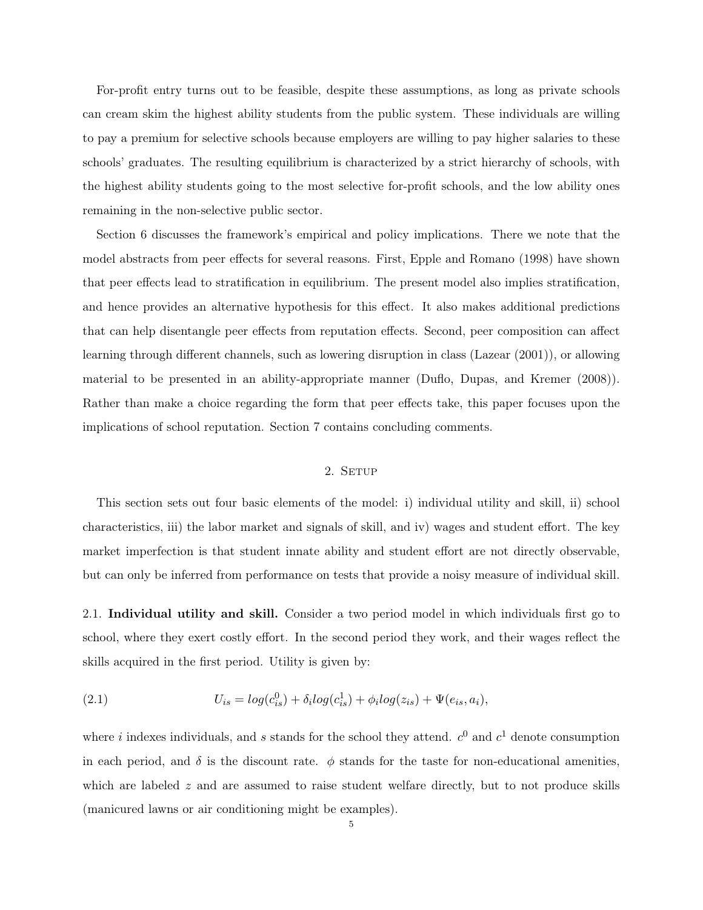For-profit entry turns out to be feasible, despite these assumptions, as long as private schools can cream skim the highest ability students from the public system. These individuals are willing to pay a premium for selective schools because employers are willing to pay higher salaries to these schools' graduates. The resulting equilibrium is characterized by a strict hierarchy of schools, with the highest ability students going to the most selective for-profit schools, and the low ability ones remaining in the non-selective public sector.

Section 6 discusses the framework's empirical and policy implications. There we note that the model abstracts from peer effects for several reasons. First, Epple and Romano (1998) have shown that peer effects lead to stratification in equilibrium. The present model also implies stratification, and hence provides an alternative hypothesis for this effect. It also makes additional predictions that can help disentangle peer effects from reputation effects. Second, peer composition can affect learning through different channels, such as lowering disruption in class (Lazear (2001)), or allowing material to be presented in an ability-appropriate manner (Duflo, Dupas, and Kremer (2008)). Rather than make a choice regarding the form that peer effects take, this paper focuses upon the implications of school reputation. Section 7 contains concluding comments.

## 2. SETUP

This section sets out four basic elements of the model: i) individual utility and skill, ii) school characteristics, iii) the labor market and signals of skill, and iv) wages and student effort. The key market imperfection is that student innate ability and student effort are not directly observable, but can only be inferred from performance on tests that provide a noisy measure of individual skill.

2.1. Individual utility and skill. Consider a two period model in which individuals first go to school, where they exert costly effort. In the second period they work, and their wages reflect the skills acquired in the first period. Utility is given by:

(2.1) 
$$
U_{is} = log(c_{is}^{0}) + \delta_{i}log(c_{is}^{1}) + \phi_{i}log(z_{is}) + \Psi(e_{is}, a_{i}),
$$

where *i* indexes individuals, and *s* stands for the school they attend.  $c^0$  and  $c^1$  denote consumption in each period, and  $\delta$  is the discount rate.  $\phi$  stands for the taste for non-educational amenities, which are labeled z and are assumed to raise student welfare directly, but to not produce skills (manicured lawns or air conditioning might be examples).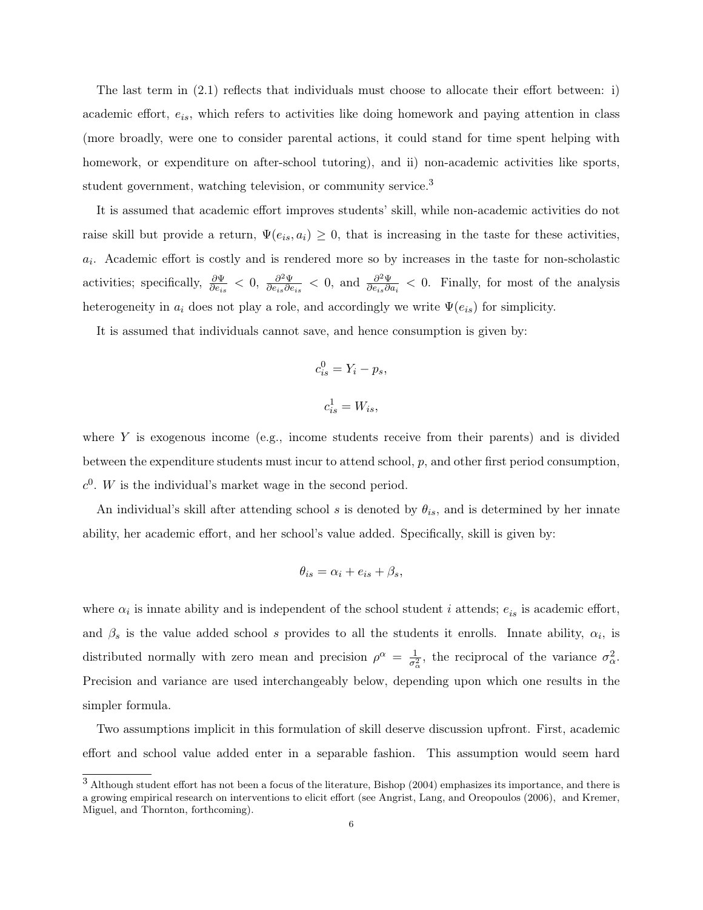The last term in (2.1) reflects that individuals must choose to allocate their effort between: i) academic effort,  $e_{is}$ , which refers to activities like doing homework and paying attention in class (more broadly, were one to consider parental actions, it could stand for time spent helping with homework, or expenditure on after-school tutoring), and ii) non-academic activities like sports, student government, watching television, or community service.<sup>3</sup>

It is assumed that academic effort improves students' skill, while non-academic activities do not raise skill but provide a return,  $\Psi(e_i, a_i) \geq 0$ , that is increasing in the taste for these activities,  $a_i$ . Academic effort is costly and is rendered more so by increases in the taste for non-scholastic activities; specifically,  $\frac{\partial \Psi}{\partial e}$  $\frac{\partial \Psi}{\partial e_{is}} < 0, \frac{\partial^2 \Psi}{\partial e_{is} \partial e}$  $\frac{\partial^2 \Psi}{\partial e_{is} \partial e_{is}}$  < 0, and  $\frac{\partial^2 \Psi}{\partial e_{is} \partial e_{is}}$  $\frac{\partial^2 \Psi}{\partial e_{is} \partial a_i} < 0$ . Finally, for most of the analysis heterogeneity in  $a_i$  does not play a role, and accordingly we write  $\Psi(e_{is})$  for simplicity.

It is assumed that individuals cannot save, and hence consumption is given by:

$$
c_{is}^0 = Y_i - p_s,
$$
  

$$
c_{is}^1 = W_{is},
$$

where  $Y$  is exogenous income (e.g., income students receive from their parents) and is divided between the expenditure students must incur to attend school,  $p$ , and other first period consumption.  $c<sup>0</sup>$ . W is the individual's market wage in the second period.

An individual's skill after attending school s is denoted by  $\theta_{is}$ , and is determined by her innate ability, her academic effort, and her school's value added. Specifically, skill is given by:

$$
\theta_{is} = \alpha_i + e_{is} + \beta_s,
$$

where  $\alpha_i$  is innate ability and is independent of the school student *i* attends;  $e_{is}$  is academic effort, and  $\beta_s$  is the value added school s provides to all the students it enrolls. Innate ability,  $\alpha_i$ , is distributed normally with zero mean and precision  $\rho^{\alpha} = \frac{1}{\sigma_{\alpha}^2}$ , the reciprocal of the variance  $\sigma_{\alpha}^2$ . Precision and variance are used interchangeably below, depending upon which one results in the simpler formula.

Two assumptions implicit in this formulation of skill deserve discussion upfront. First, academic effort and school value added enter in a separable fashion. This assumption would seem hard

<sup>3</sup> Although student effort has not been <sup>a</sup> focus of the literature, Bishop (2004) emphasizes its importance, and there is a growing empirical research on interventions to elicit effort (see Angrist, Lang, and Oreopoulos (2006), and Kremer, Miguel, and Thornton, forthcoming).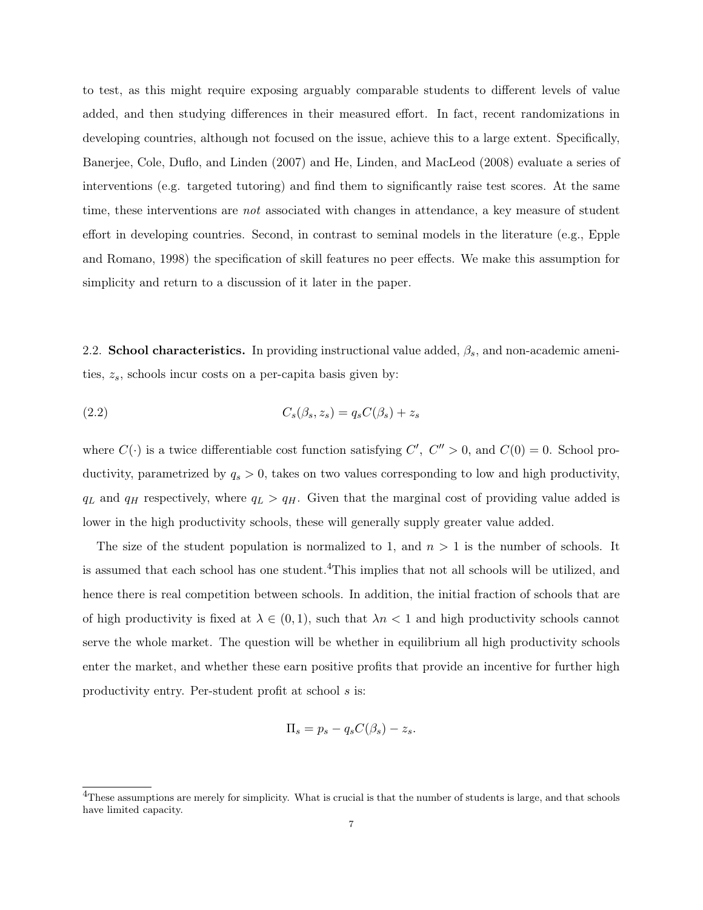to test, as this might require exposing arguably comparable students to different levels of value added, and then studying differences in their measured effort. In fact, recent randomizations in developing countries, although not focused on the issue, achieve this to a large extent. Specifically, Banerjee, Cole, Duflo, and Linden (2007) and He, Linden, and MacLeod (2008) evaluate a series of interventions (e.g. targeted tutoring) and find them to significantly raise test scores. At the same time, these interventions are *not* associated with changes in attendance, a key measure of student effort in developing countries. Second, in contrast to seminal models in the literature (e.g., Epple and Romano, 1998) the specification of skill features no peer effects. We make this assumption for simplicity and return to a discussion of it later in the paper.

2.2. School characteristics. In providing instructional value added,  $\beta_s$ , and non-academic amenities,  $z_s$ , schools incur costs on a per-capita basis given by:

$$
(2.2) \t\t Cs(\betas, zs) = qsC(\betas) + zs
$$

where  $C(\cdot)$  is a twice differentiable cost function satisfying  $C', C'' > 0$ , and  $C(0) = 0$ . School productivity, parametrized by  $q_s > 0$ , takes on two values corresponding to low and high productivity,  $q_L$  and  $q_H$  respectively, where  $q_L > q_H$ . Given that the marginal cost of providing value added is lower in the high productivity schools, these will generally supply greater value added.

The size of the student population is normalized to 1, and  $n > 1$  is the number of schools. It is assumed that each school has one student.<sup>4</sup>This implies that not all schools will be utilized, and hence there is real competition between schools. In addition, the initial fraction of schools that are of high productivity is fixed at  $\lambda \in (0,1)$ , such that  $\lambda n < 1$  and high productivity schools cannot serve the whole market. The question will be whether in equilibrium all high productivity schools enter the market, and whether these earn positive profits that provide an incentive for further high productivity entry. Per-student profit at school s is:

$$
\Pi_s = p_s - q_s C(\beta_s) - z_s.
$$

<sup>&</sup>lt;sup>4</sup>These assumptions are merely for simplicity. What is crucial is that the number of students is large, and that schools have limited capacity.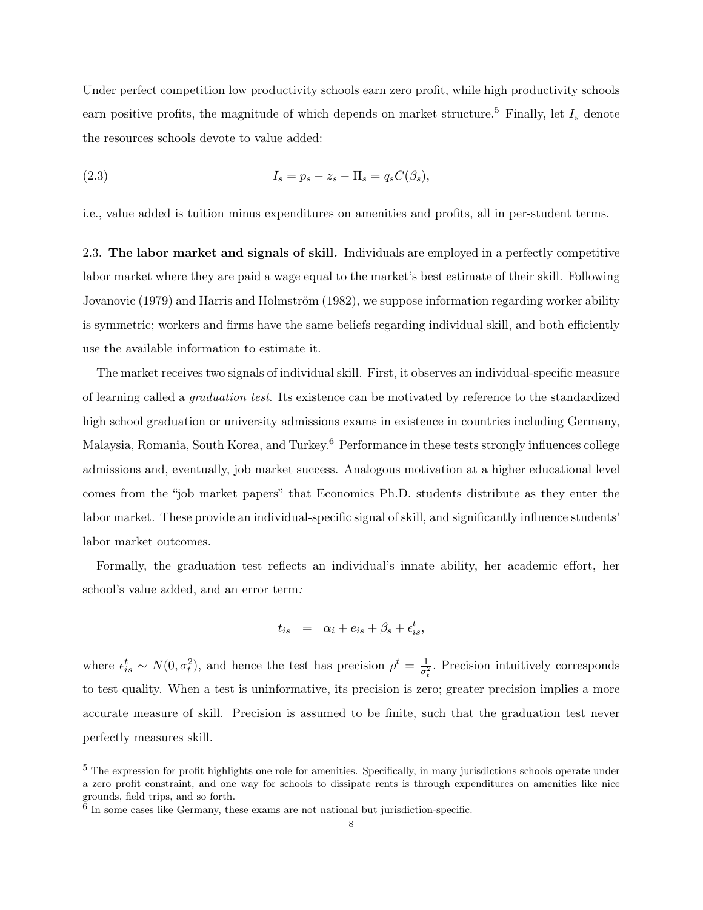Under perfect competition low productivity schools earn zero profit, while high productivity schools earn positive profits, the magnitude of which depends on market structure.<sup>5</sup> Finally, let  $I_s$  denote the resources schools devote to value added:

$$
I_s = p_s - z_s - \Pi_s = q_s C(\beta_s),
$$

i.e., value added is tuition minus expenditures on amenities and profits, all in per-student terms.

2.3. The labor market and signals of skill. Individuals are employed in a perfectly competitive labor market where they are paid a wage equal to the market's best estimate of their skill. Following Jovanovic (1979) and Harris and Holmström (1982), we suppose information regarding worker ability is symmetric; workers and firms have the same beliefs regarding individual skill, and both efficiently use the available information to estimate it.

The market receives two signals of individual skill. First, it observes an individual-specific measure of learning called a *graduation test*. Its existence can be motivated by reference to the standardized high school graduation or university admissions exams in existence in countries including Germany, Malaysia, Romania, South Korea, and Turkey. <sup>6</sup> Performance in these tests strongly influences college admissions and, eventually, job market success. Analogous motivation at a higher educational level comes from the "job market papers" that Economics Ph.D. students distribute as they enter the labor market. These provide an individual-specific signal of skill, and significantly influence students' labor market outcomes.

Formally, the graduation test reflects an individual's innate ability, her academic effort, her school's value added, and an error term*:*

$$
t_{is} = \alpha_i + e_{is} + \beta_s + \epsilon_{is}^t,
$$

where  $\epsilon_{is}^t \sim N(0, \sigma_t^2)$ , and hence the test has precision  $\rho^t = \frac{1}{\sigma_t^2}$  $\frac{1}{\sigma_t^2}$ . Precision intuitively corresponds to test quality. When a test is uninformative, its precision is zero; greater precision implies a more accurate measure of skill. Precision is assumed to be finite, such that the graduation test never perfectly measures skill.

<sup>5</sup> The expression for profit highlights one role for amenities. Specifically, in many jurisdictions schools operate under a zero profit constraint, and one way for schools to dissipate rents is through expenditures on amenities like nice grounds, field trips, and so forth. 6 In some cases like Germany, these exams are not national but jurisdiction-specific.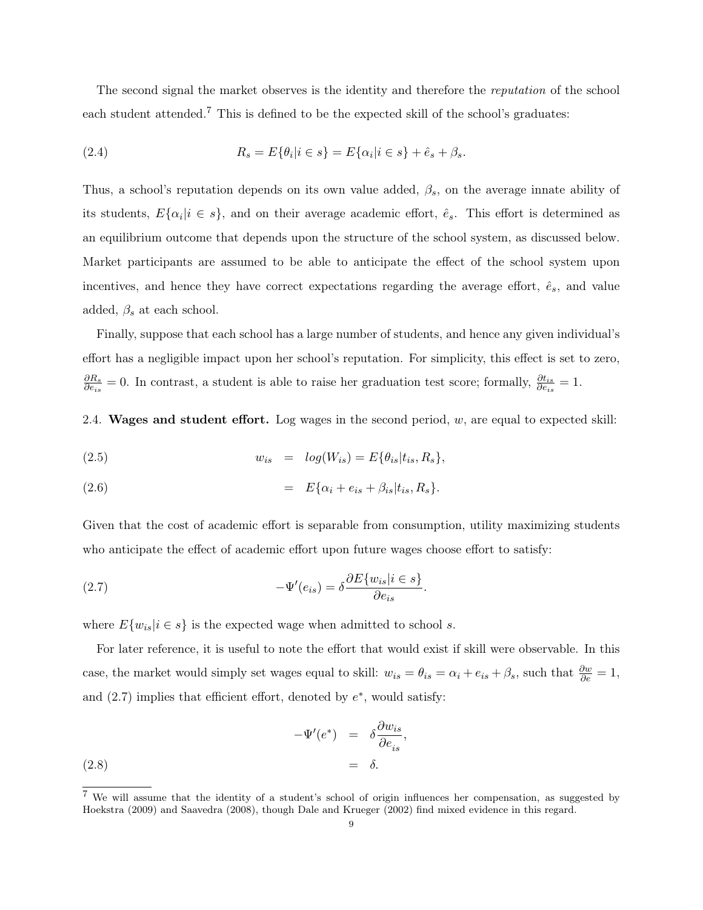The second signal the market observes is the identity and therefore the *reputation* of the school each student attended.<sup>7</sup> This is defined to be the expected skill of the school's graduates:

(2.4) 
$$
R_s = E\{\theta_i | i \in s\} = E\{\alpha_i | i \in s\} + \hat{e}_s + \beta_s.
$$

Thus, a school's reputation depends on its own value added,  $\beta_s$ , on the average innate ability of its students,  $E\{\alpha_i|i\in s\}$ , and on their average academic effort,  $\hat{e}_s$ . This effort is determined as an equilibrium outcome that depends upon the structure of the school system, as discussed below. Market participants are assumed to be able to anticipate the effect of the school system upon incentives, and hence they have correct expectations regarding the average effort,  $\hat{e}_s$ , and value added,  $\beta_s$  at each school.

Finally, suppose that each school has a large number of students, and hence any given individual's effort has a negligible impact upon her school's reputation. For simplicity, this effect is set to zero,  $\partial R_s$  $\frac{\partial R_s}{\partial e_{is}} = 0$ . In contrast, a student is able to raise her graduation test score; formally,  $\frac{\partial t_{is}}{\partial e_{is}}$  $\frac{\partial t_{is}}{\partial e_{is}}=1.$ 

2.4. Wages and student effort. Log wages in the second period,  $w$ , are equal to expected skill:

(2.5) 
$$
w_{is} = log(W_{is}) = E\{\theta_{is}|t_{is}, R_s\},\
$$

(2.6) 
$$
= E\{\alpha_i + e_{is} + \beta_{is}|t_{is}, R_s\}.
$$

Given that the cost of academic effort is separable from consumption, utility maximizing students who anticipate the effect of academic effort upon future wages choose effort to satisfy:

(2.7) 
$$
-\Psi'(e_{is}) = \delta \frac{\partial E\{w_{is}|i \in s\}}{\partial e_{is}}.
$$

where  $E\{w_{is}|i \in s\}$  is the expected wage when admitted to school s.

For later reference, it is useful to note the effort that would exist if skill were observable. In this case, the market would simply set wages equal to skill:  $w_{is} = \theta_{is} = \alpha_i + e_{is} + \beta_s$ , such that  $\frac{\partial w}{\partial e} = 1$ , and  $(2.7)$  implies that efficient effort, denoted by  $e^*$ , would satisfy:

(2.8) 
$$
-\Psi'(e^*) = \delta \frac{\partial w_{is}}{\partial e_{is}},
$$

$$
= \delta.
$$

<sup>7</sup> We will assume that the identity of <sup>a</sup> student's school of origin influences her compensation, as suggested by Hoekstra (2009) and Saavedra (2008), though Dale and Krueger (2002) find mixed evidence in this regard.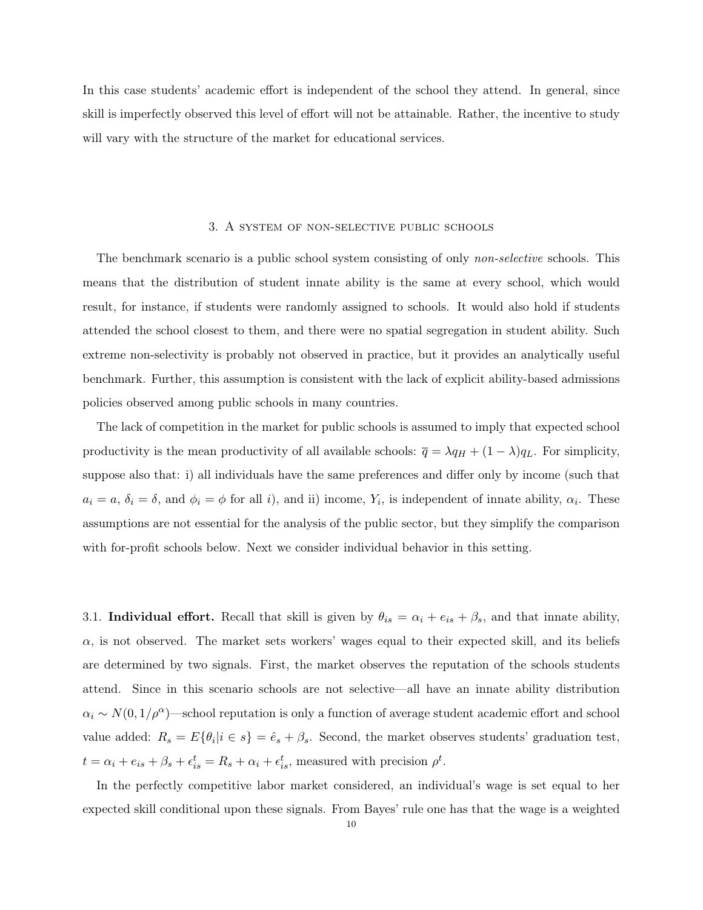In this case students' academic effort is independent of the school they attend. In general, since skill is imperfectly observed this level of effort will not be attainable. Rather, the incentive to study will vary with the structure of the market for educational services.

#### 3. A system of non-selective public schools

The benchmark scenario is a public school system consisting of only *non-selective* schools. This means that the distribution of student innate ability is the same at every school, which would result, for instance, if students were randomly assigned to schools. It would also hold if students attended the school closest to them, and there were no spatial segregation in student ability. Such extreme non-selectivity is probably not observed in practice, but it provides an analytically useful benchmark. Further, this assumption is consistent with the lack of explicit ability-based admissions policies observed among public schools in many countries.

The lack of competition in the market for public schools is assumed to imply that expected school productivity is the mean productivity of all available schools:  $\overline{q} = \lambda q_H + (1 - \lambda) q_L$ . For simplicity, suppose also that: i) all individuals have the same preferences and differ only by income (such that  $a_i = a, \delta_i = \delta$ , and  $\phi_i = \phi$  for all i), and ii) income,  $Y_i$ , is independent of innate ability,  $\alpha_i$ . These assumptions are not essential for the analysis of the public sector, but they simplify the comparison with for-profit schools below. Next we consider individual behavior in this setting.

3.1. **Individual effort.** Recall that skill is given by  $\theta_{is} = \alpha_i + e_{is} + \beta_s$ , and that innate ability,  $\alpha$ , is not observed. The market sets workers' wages equal to their expected skill, and its beliefs are determined by two signals. First, the market observes the reputation of the schools students attend. Since in this scenario schools are not selective—all have an innate ability distribution  $\alpha_i \sim N(0, 1/\rho^{\alpha})$ —school reputation is only a function of average student academic effort and school value added:  $R_s = E\{\theta_i | i \in s\} = \hat{e}_s + \beta_s$ . Second, the market observes students' graduation test,  $t = \alpha_i + e_{is} + \beta_s + \epsilon_{is}^t = R_s + \alpha_i + \epsilon_{is}^t$ , measured with precision  $\rho^t$ .

In the perfectly competitive labor market considered, an individual's wage is set equal to her expected skill conditional upon these signals. From Bayes' rule one has that the wage is a weighted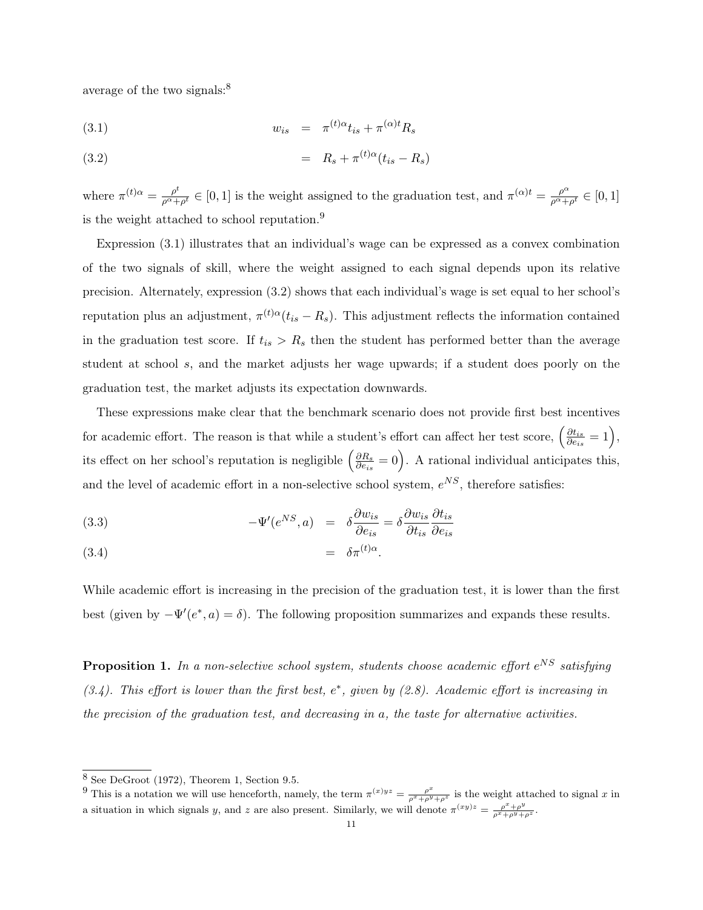average of the two signals: $8<sup>8</sup>$ 

$$
(3.1) \t\t w_{is} = \pi^{(t)\alpha} t_{is} + \pi^{(\alpha)t} R_s
$$

(3.2) 
$$
= R_s + \pi^{(t)\alpha}(t_{is} - R_s)
$$

where  $\pi^{(t)}{}^{\alpha} = \frac{\rho^t}{\rho^{\alpha}+}$  $\frac{\rho^t}{\rho^{\alpha}+\rho^t} \in [0,1]$  is the weight assigned to the graduation test, and  $\pi^{(\alpha)t} = \frac{\rho^{\alpha}}{\rho^{\alpha}+1}$  $\frac{\rho^{\alpha}}{\rho^{\alpha}+\rho^t}\in [0,1]$ is the weight attached to school reputation.<sup>9</sup>

Expression (3.1) illustrates that an individual's wage can be expressed as a convex combination of the two signals of skill, where the weight assigned to each signal depends upon its relative precision. Alternately, expression (3.2) shows that each individual's wage is set equal to her school's reputation plus an adjustment,  $\pi^{(t)\alpha}(t_{is} - R_s)$ . This adjustment reflects the information contained in the graduation test score. If  $t_{is} > R_s$  then the student has performed better than the average student at school s, and the market adjusts her wage upwards; if a student does poorly on the graduation test, the market adjusts its expectation downwards.

These expressions make clear that the benchmark scenario does not provide first best incentives for academic effort. The reason is that while a student's effort can affect her test score,  $\left(\frac{\partial t_{is}}{\partial e}\right)$  $\frac{\partial t_{is}}{\partial e_{is}}=1\Big),$ its effect on her school's reputation is negligible  $\left(\frac{\partial R_s}{\partial e_i}\right)$  $\frac{\partial R_s}{\partial e_{is}} = 0$ . A rational individual anticipates this, and the level of academic effort in a non-selective school system,  $e^{NS}$ , therefore satisfies:

(3.3) 
$$
-\Psi'(e^{NS}, a) = \delta \frac{\partial w_{is}}{\partial e_{is}} = \delta \frac{\partial w_{is}}{\partial t_{is}} \frac{\partial t_{is}}{\partial e_{is}}
$$

$$
(3.4) \qquad \qquad = \delta \pi^{(t)\alpha}.
$$

While academic effort is increasing in the precision of the graduation test, it is lower than the first best (given by  $-\Psi'(e^*, a) = \delta$ ). The following proposition summarizes and expands these results.

Proposition 1. *In a non-selective school system, students choose academic effort* e NS *satisfying*  $(3.4)$ . This effort is lower than the first best, e<sup>\*</sup>, given by (2.8). Academic effort is increasing in *the precision of the graduation test, and decreasing in* a*, the taste for alternative activities.*

 $8$  See DeGroot (1972), Theorem 1, Section 9.5.

<sup>&</sup>lt;sup>9</sup> This is a notation we will use henceforth, namely, the term  $\pi^{(x)yz} = \frac{\rho^x}{\rho^x + \rho^y + \rho^z}$  is the weight attached to signal x in a situation in which signals y, and z are also present. Similarly, we will denote  $\pi^{(xy)z} = \frac{\rho^x + \rho^y}{\rho^x + \rho^y + \rho^z}$ .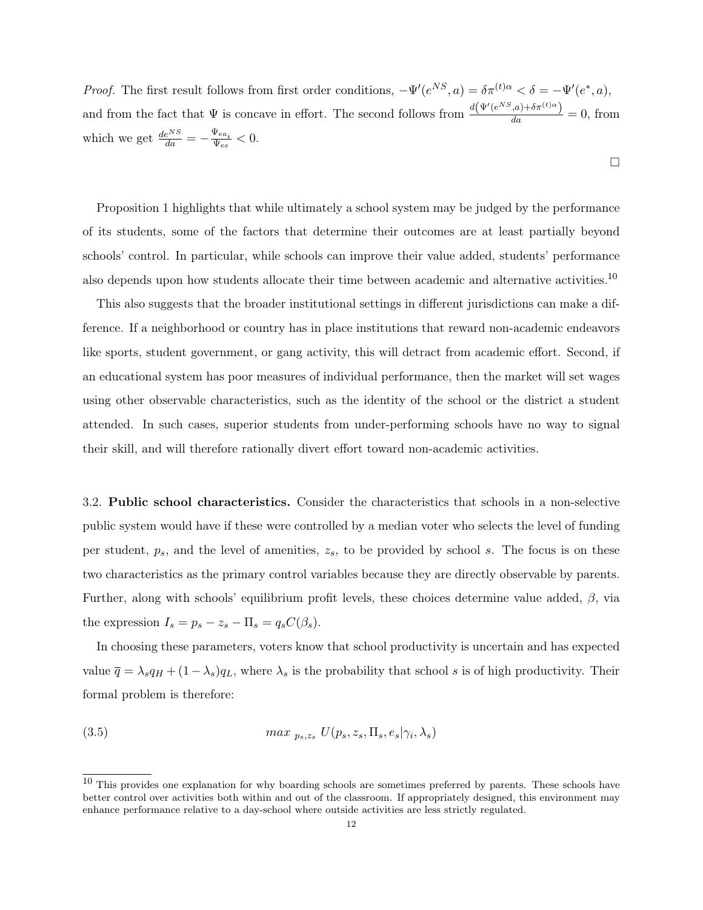*Proof.* The first result follows from first order conditions,  $-\Psi'(e^{NS}, a) = \delta \pi^{(t)a} < \delta = -\Psi'(e^*, a)$ , and from the fact that  $\Psi$  is concave in effort. The second follows from  $\frac{d(\Psi'(e^{NS},a) + \delta \pi^{(t)}\alpha)}{da} = 0$ , from which we get  $\frac{de^{NS}}{da} = -\frac{\Psi_{ea_i}}{\Psi_{ee}}$  $\frac{\Psi_{ea_i}}{\Psi_{ee}} < 0.$ 

 $\Box$ 

Proposition 1 highlights that while ultimately a school system may be judged by the performance of its students, some of the factors that determine their outcomes are at least partially beyond schools' control. In particular, while schools can improve their value added, students' performance also depends upon how students allocate their time between academic and alternative activities.<sup>10</sup>

This also suggests that the broader institutional settings in different jurisdictions can make a difference. If a neighborhood or country has in place institutions that reward non-academic endeavors like sports, student government, or gang activity, this will detract from academic effort. Second, if an educational system has poor measures of individual performance, then the market will set wages using other observable characteristics, such as the identity of the school or the district a student attended. In such cases, superior students from under-performing schools have no way to signal their skill, and will therefore rationally divert effort toward non-academic activities.

3.2. Public school characteristics. Consider the characteristics that schools in a non-selective public system would have if these were controlled by a median voter who selects the level of funding per student,  $p<sub>s</sub>$ , and the level of amenities,  $z<sub>s</sub>$ , to be provided by school s. The focus is on these two characteristics as the primary control variables because they are directly observable by parents. Further, along with schools' equilibrium profit levels, these choices determine value added,  $\beta$ , via the expression  $I_s = p_s - z_s - \Pi_s = q_s C(\beta_s)$ .

In choosing these parameters, voters know that school productivity is uncertain and has expected value  $\overline{q} = \lambda_s q_H + (1 - \lambda_s) q_L$ , where  $\lambda_s$  is the probability that school s is of high productivity. Their formal problem is therefore:

(3.5) 
$$
max_{p_s,z_s} U(p_s,z_s,\Pi_s,e_s|\gamma_i,\lambda_s)
$$

 $10$  This provides one explanation for why boarding schools are sometimes preferred by parents. These schools have better control over activities both within and out of the classroom. If appropriately designed, this environment may enhance performance relative to a day-school where outside activities are less strictly regulated.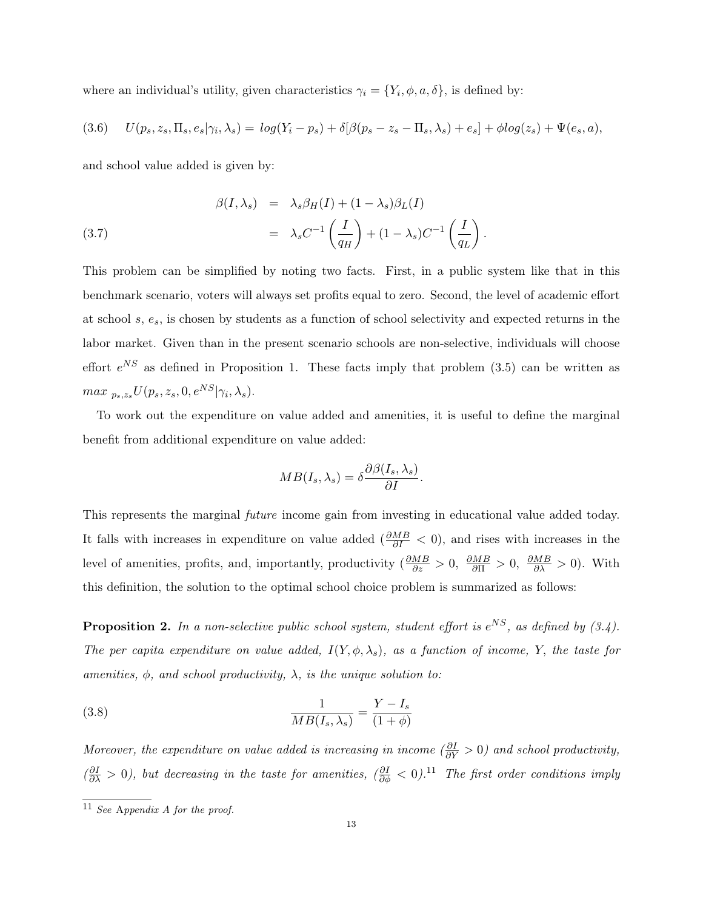where an individual's utility, given characteristics  $\gamma_i = \{Y_i, \phi, a, \delta\}$ , is defined by:

$$
(3.6) \qquad U(p_s, z_s, \Pi_s, e_s | \gamma_i, \lambda_s) = \log(Y_i - p_s) + \delta[\beta(p_s - z_s - \Pi_s, \lambda_s) + e_s] + \phi \log(z_s) + \Psi(e_s, a),
$$

and school value added is given by:

(3.7) 
$$
\beta(I, \lambda_s) = \lambda_s \beta_H(I) + (1 - \lambda_s) \beta_L(I)
$$

$$
= \lambda_s C^{-1} \left( \frac{I}{q_H} \right) + (1 - \lambda_s) C^{-1} \left( \frac{I}{q_L} \right).
$$

This problem can be simplified by noting two facts. First, in a public system like that in this benchmark scenario, voters will always set profits equal to zero. Second, the level of academic effort at school  $s, e_s$ , is chosen by students as a function of school selectivity and expected returns in the labor market. Given than in the present scenario schools are non-selective, individuals will choose effort  $e^{NS}$  as defined in Proposition 1. These facts imply that problem (3.5) can be written as  $max \, p_{s}, z_s U(p_s, z_s, 0, e^{NS}|\gamma_i, \lambda_s).$ 

To work out the expenditure on value added and amenities, it is useful to define the marginal benefit from additional expenditure on value added:

$$
MB(I_s, \lambda_s) = \delta \frac{\partial \beta(I_s, \lambda_s)}{\partial I}.
$$

This represents the marginal *future* income gain from investing in educational value added today. It falls with increases in expenditure on value added  $(\frac{\partial MB}{\partial I} < 0)$ , and rises with increases in the level of amenities, profits, and, importantly, productivity  $\left(\frac{\partial MB}{\partial z} > 0, \frac{\partial MB}{\partial \Pi} > 0, \frac{\partial MB}{\partial \lambda} > 0\right)$ . With this definition, the solution to the optimal school choice problem is summarized as follows:

**Proposition 2.** In a non-selective public school system, student effort is  $e^{NS}$ , as defined by  $(3.4)$ . *The per capita expenditure on value added,*  $I(Y, \phi, \lambda_s)$ *, as a function of income,* Y, *the taste for amenities,* φ*, and school productivity,* λ*, is the unique solution to:*

(3.8) 
$$
\frac{1}{MB(I_s, \lambda_s)} = \frac{Y - I_s}{(1 + \phi)}
$$

*Moreover, the expenditure on value added is increasing in income*  $\left(\frac{\partial I}{\partial Y} > 0\right)$  *and school productivity,*  $(\frac{\partial I}{\partial \lambda} > 0)$ , but decreasing in the taste for amenities,  $(\frac{\partial I}{\partial \phi} < 0)$ .<sup>11</sup> *The first order conditions imply* 

<sup>11</sup> *See* <sup>A</sup>*ppendix <sup>A</sup> for the proof.*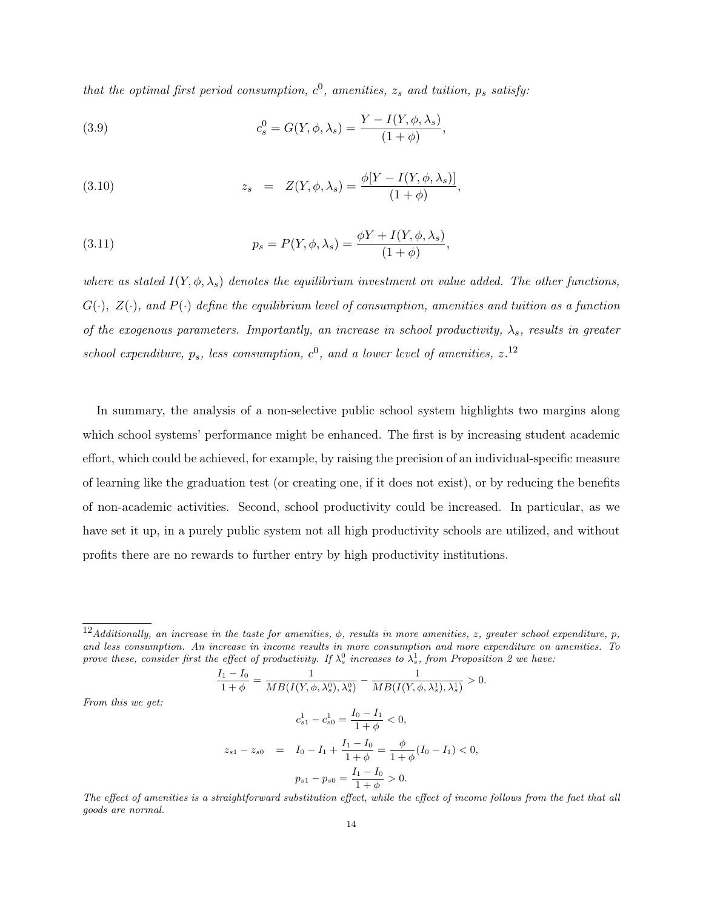*that the optimal first period consumption,*  $c^0$ , *amenities,*  $z_s$  *and tuition,*  $p_s$  *satisfy:* 

(3.9) 
$$
c_s^0 = G(Y, \phi, \lambda_s) = \frac{Y - I(Y, \phi, \lambda_s)}{(1 + \phi)},
$$

(3.10) 
$$
z_s = Z(Y, \phi, \lambda_s) = \frac{\phi[Y - I(Y, \phi, \lambda_s)]}{(1 + \phi)},
$$

(3.11) 
$$
p_s = P(Y, \phi, \lambda_s) = \frac{\phi Y + I(Y, \phi, \lambda_s)}{(1 + \phi)},
$$

*From this we get:*

*where* as stated  $I(Y, \phi, \lambda_s)$  denotes the equilibrium investment on value added. The other functions, G( $\cdot$ ),  $Z(\cdot)$ , and  $P(\cdot)$  define the equilibrium level of consumption, amenities and tuition as a function *of* the exogenous parameters. Importantly, an increase in school productivity,  $\lambda_s$ , results in greater school expenditure,  $p_s$ , less consumption,  $c^0$ , and a lower level of amenities,  $z^{12}$ 

In summary, the analysis of a non-selective public school system highlights two margins along which school systems' performance might be enhanced. The first is by increasing student academic effort, which could be achieved, for example, by raising the precision of an individual-specific measure of learning like the graduation test (or creating one, if it does not exist), or by reducing the benefits of non-academic activities. Second, school productivity could be increased. In particular, as we have set it up, in a purely public system not all high productivity schools are utilized, and without profits there are no rewards to further entry by high productivity institutions.

$$
\frac{I_1 - I_0}{1 + \phi} = \frac{1}{MB(I(Y, \phi, \lambda_s^0), \lambda_s^0)} - \frac{1}{MB(I(Y, \phi, \lambda_s^1), \lambda_s^1)} > 0.
$$
  

$$
c_{s1}^1 - c_{s0}^1 = \frac{I_0 - I_1}{1 + \phi} < 0,
$$
  

$$
z_{s1} - z_{s0} = I_0 - I_1 + \frac{I_1 - I_0}{1 + \phi} = \frac{\phi}{1 + \phi}(I_0 - I_1) < 0,
$$
  

$$
p_{s1} - p_{s0} = \frac{I_1 - I_0}{1 + \phi} > 0.
$$

The effect of amenities is a straightforward substitution effect, while the effect of income follows from the fact that all *goods are normal.*

<sup>&</sup>lt;sup>12</sup>Additionally, an increase in the taste for amenities,  $\phi$ , results in more amenities, z, greater school expenditure, p. *and less consumption. An increase in income results in more consumption and more expenditure on amenities. To* prove these, consider first the effect of productivity. If  $\lambda_s^0$  increases to  $\lambda_s^1$ , from Proposition 2 we have: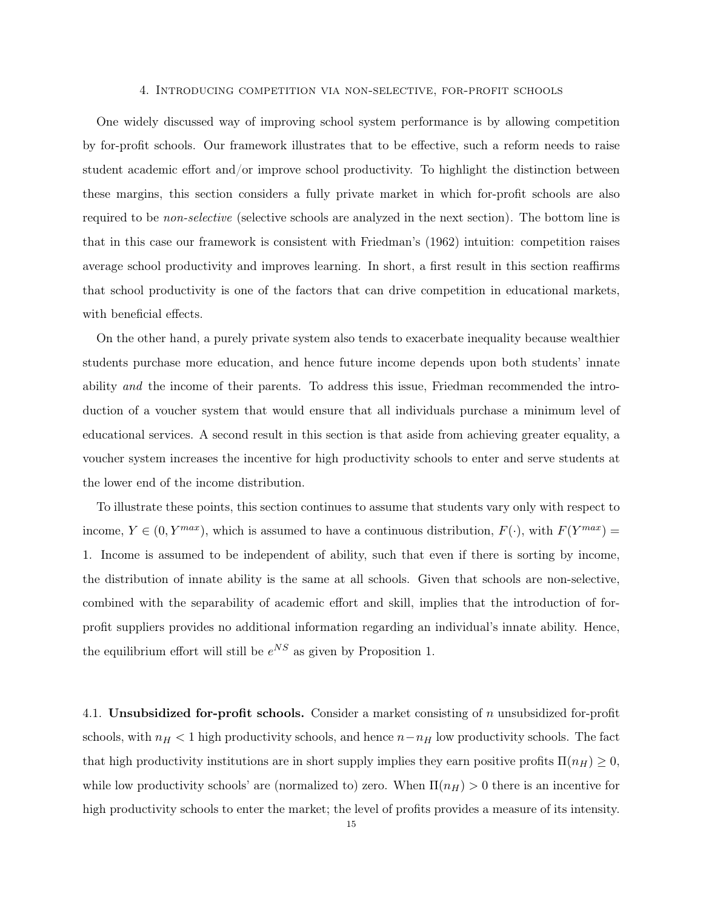#### 4. Introducing competition via non-selective, for-profit schools

One widely discussed way of improving school system performance is by allowing competition by for-profit schools. Our framework illustrates that to be effective, such a reform needs to raise student academic effort and/or improve school productivity. To highlight the distinction between these margins, this section considers a fully private market in which for-profit schools are also required to be *non-selective* (selective schools are analyzed in the next section)*.* The bottom line is that in this case our framework is consistent with Friedman's (1962) intuition: competition raises average school productivity and improves learning. In short, a first result in this section reaffirms that school productivity is one of the factors that can drive competition in educational markets, with beneficial effects.

On the other hand, a purely private system also tends to exacerbate inequality because wealthier students purchase more education, and hence future income depends upon both students' innate ability *and* the income of their parents. To address this issue, Friedman recommended the introduction of a voucher system that would ensure that all individuals purchase a minimum level of educational services. A second result in this section is that aside from achieving greater equality, a voucher system increases the incentive for high productivity schools to enter and serve students at the lower end of the income distribution.

To illustrate these points, this section continues to assume that students vary only with respect to income,  $Y \in (0, Y^{max})$ , which is assumed to have a continuous distribution,  $F(\cdot)$ , with  $F(Y^{max}) =$ 1. Income is assumed to be independent of ability, such that even if there is sorting by income, the distribution of innate ability is the same at all schools. Given that schools are non-selective, combined with the separability of academic effort and skill, implies that the introduction of forprofit suppliers provides no additional information regarding an individual's innate ability. Hence, the equilibrium effort will still be  $e^{NS}$  as given by Proposition 1.

4.1. Unsubsidized for-profit schools. Consider a market consisting of  $n$  unsubsidized for-profit schools, with  $n_H < 1$  high productivity schools, and hence  $n - n_H$  low productivity schools. The fact that high productivity institutions are in short supply implies they earn positive profits  $\Pi(n_H) \geq 0$ , while low productivity schools' are (normalized to) zero. When  $\Pi(n_H) > 0$  there is an incentive for high productivity schools to enter the market; the level of profits provides a measure of its intensity.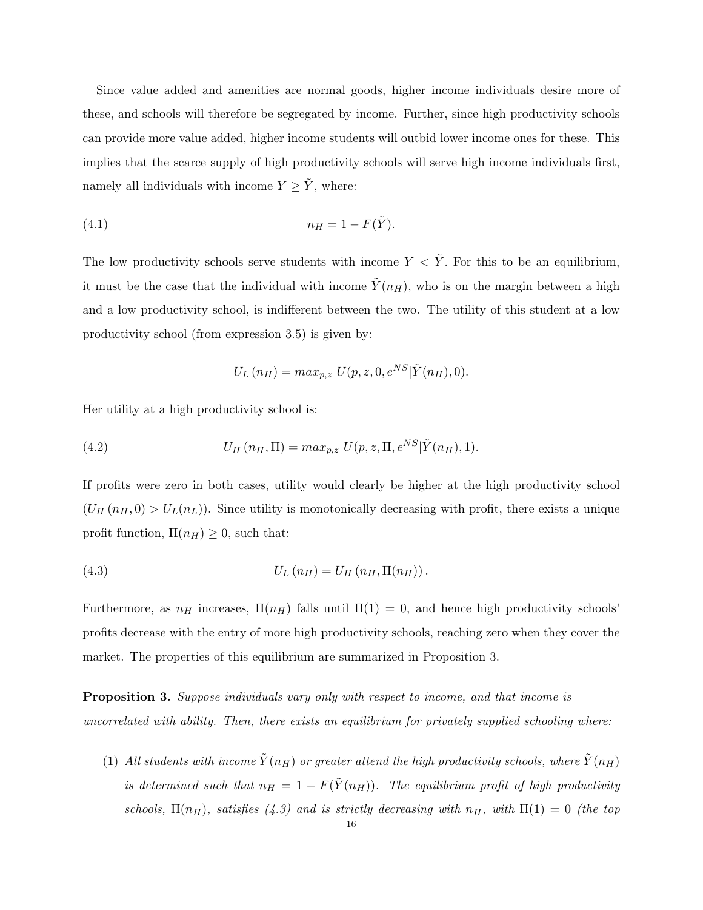Since value added and amenities are normal goods, higher income individuals desire more of these, and schools will therefore be segregated by income. Further, since high productivity schools can provide more value added, higher income students will outbid lower income ones for these. This implies that the scarce supply of high productivity schools will serve high income individuals first, namely all individuals with income  $Y \geq \tilde{Y}$ , where:

$$
(4.1) \t\t n_H = 1 - F(\tilde{Y}).
$$

The low productivity schools serve students with income  $Y < \tilde{Y}$ . For this to be an equilibrium, it must be the case that the individual with income  $\tilde{Y}(n_H)$ , who is on the margin between a high and a low productivity school, is indifferent between the two. The utility of this student at a low productivity school (from expression 3.5) is given by:

$$
U_L(n_H) = \max_{p,z} U(p,z,0,e^{NS}|\tilde{Y}(n_H),0).
$$

Her utility at a high productivity school is:

(4.2) 
$$
U_H(n_H, \Pi) = max_{p,z} U(p,z,\Pi, e^{NS} | \tilde{Y}(n_H), 1).
$$

If profits were zero in both cases, utility would clearly be higher at the high productivity school  $(U_H(n_H, 0) > U_L(n_L))$ . Since utility is monotonically decreasing with profit, there exists a unique profit function,  $\Pi(n_H) \geq 0$ , such that:

(4.3) 
$$
U_L(n_H) = U_H(n_H, \Pi(n_H)).
$$

Furthermore, as  $n_H$  increases,  $\Pi(n_H)$  falls until  $\Pi(1) = 0$ , and hence high productivity schools' profits decrease with the entry of more high productivity schools, reaching zero when they cover the market. The properties of this equilibrium are summarized in Proposition 3.

Proposition 3. *Suppose individuals vary only with respect to income, and that income is uncorrelated with ability. Then, there exists an equilibrium for privately supplied schooling where:*

(1) All students with income  $\tilde{Y}(n_H)$  or greater attend the high productivity schools, where  $\tilde{Y}(n_H)$ *is determined such that*  $n_H = 1 - F(\tilde{Y}(n_H))$ *. The equilibrium profit of high productivity schools,*  $\Pi(n_H)$ *, satisfies* (4.3) and *is strictly decreasing with*  $n_H$ *, with*  $\Pi(1) = 0$  *(the top*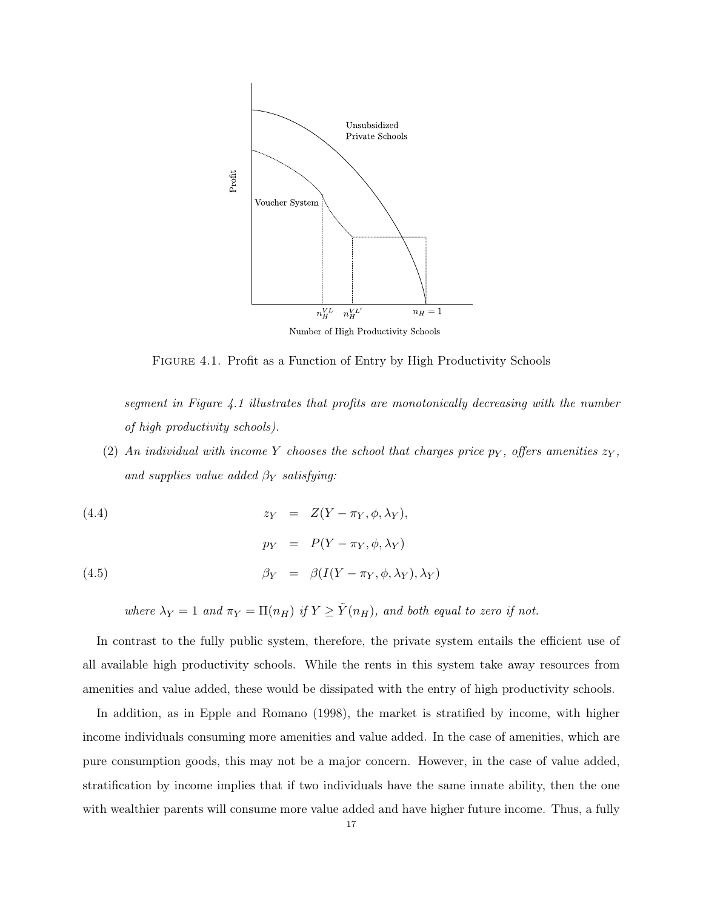

Figure 4.1. Profit as a Function of Entry by High Productivity Schools

*segment in Figure 4.1 illustrates that profits are monotonically decreasing with the number of high productivity schools).*

- (2) An *individual* with *income* Y *chooses* the *school* that *charges* price  $p<sub>Y</sub>$ *, offers amenities*  $z<sub>Y</sub>$ *, and supplies value added*  $\beta_Y$  *satisfying:*
- (4.4)  $z_Y = Z(Y \pi_Y, \phi, \lambda_Y),$

(4.5) 
$$
p_Y = P(Y - \pi_Y, \phi, \lambda_Y)
$$

$$
\beta_Y = \beta(I(Y - \pi_Y, \phi, \lambda_Y), \lambda_Y)
$$

*where*  $\lambda_Y = 1$  *and*  $\pi_Y = \Pi(n_H)$  *if*  $Y \ge \tilde{Y}(n_H)$ *, and both equal to zero if not.* 

In contrast to the fully public system, therefore, the private system entails the efficient use of all available high productivity schools. While the rents in this system take away resources from amenities and value added, these would be dissipated with the entry of high productivity schools.

In addition, as in Epple and Romano (1998), the market is stratified by income, with higher income individuals consuming more amenities and value added. In the case of amenities, which are pure consumption goods, this may not be a major concern. However, in the case of value added, stratification by income implies that if two individuals have the same innate ability, then the one with wealthier parents will consume more value added and have higher future income. Thus, a fully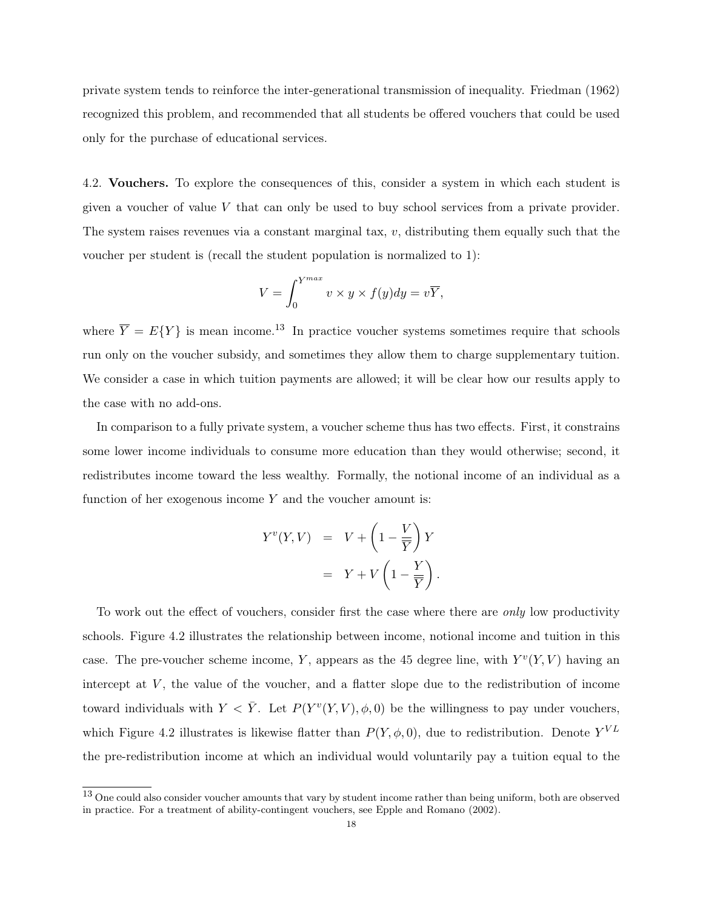private system tends to reinforce the inter-generational transmission of inequality. Friedman (1962) recognized this problem, and recommended that all students be offered vouchers that could be used only for the purchase of educational services.

4.2. Vouchers. To explore the consequences of this, consider a system in which each student is given a voucher of value V that can only be used to buy school services from a private provider. The system raises revenues via a constant marginal tax,  $v$ , distributing them equally such that the voucher per student is (recall the student population is normalized to 1):

$$
V = \int_0^{Y^{max}} v \times y \times f(y) dy = v\overline{Y},
$$

where  $\overline{Y} = E{Y}$  is mean income.<sup>13</sup> In practice voucher systems sometimes require that schools run only on the voucher subsidy, and sometimes they allow them to charge supplementary tuition. We consider a case in which tuition payments are allowed; it will be clear how our results apply to the case with no add-ons.

In comparison to a fully private system, a voucher scheme thus has two effects. First, it constrains some lower income individuals to consume more education than they would otherwise; second, it redistributes income toward the less wealthy. Formally, the notional income of an individual as a function of her exogenous income  $Y$  and the voucher amount is:

$$
Y^{v}(Y,V) = V + \left(1 - \frac{V}{\overline{Y}}\right)Y
$$

$$
= Y + V\left(1 - \frac{Y}{\overline{Y}}\right).
$$

To work out the effect of vouchers, consider first the case where there are *only* low productivity schools. Figure 4.2 illustrates the relationship between income, notional income and tuition in this case. The pre-voucher scheme income, Y, appears as the 45 degree line, with  $Y^v(Y, V)$  having an intercept at  $V$ , the value of the voucher, and a flatter slope due to the redistribution of income toward individuals with  $Y < \bar{Y}$ . Let  $P(Y^v(Y, V), \phi, 0)$  be the willingness to pay under vouchers, which Figure 4.2 illustrates is likewise flatter than  $P(Y, \phi, 0)$ , due to redistribution. Denote  $Y^{VL}$ the pre-redistribution income at which an individual would voluntarily pay a tuition equal to the

<sup>&</sup>lt;sup>13</sup> One could also consider voucher amounts that vary by student income rather than being uniform, both are observed in practice. For a treatment of ability-contingent vouchers, see Epple and Romano (2002).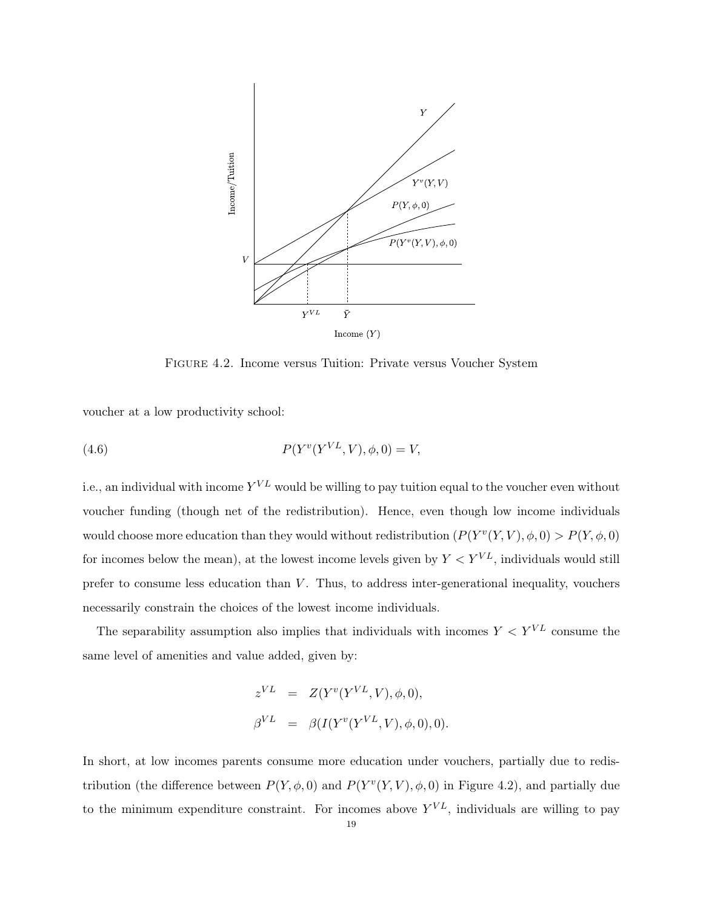

Figure 4.2. Income versus Tuition: Private versus Voucher System

voucher at a low productivity school:

(4.6) 
$$
P(Y^{v}(Y^{VL}, V), \phi, 0) = V,
$$

i.e., an individual with income  $Y^{VL}$  would be willing to pay tuition equal to the voucher even without voucher funding (though net of the redistribution). Hence, even though low income individuals would choose more education than they would without redistribution  $(P(Y^v(Y, V), \phi, 0) > P(Y, \phi, 0)$ for incomes below the mean), at the lowest income levels given by  $Y < Y^{VL}$ , individuals would still prefer to consume less education than  $V$ . Thus, to address inter-generational inequality, vouchers necessarily constrain the choices of the lowest income individuals.

The separability assumption also implies that individuals with incomes  $Y < Y^{VL}$  consume the same level of amenities and value added, given by:

$$
z^{VL} = Z(Y^v(Y^{VL}, V), \phi, 0),
$$
  
\n
$$
\beta^{VL} = \beta(I(Y^v(Y^{VL}, V), \phi, 0), 0).
$$

In short, at low incomes parents consume more education under vouchers, partially due to redistribution (the difference between  $P(Y, \phi, 0)$  and  $P(Y^v(Y, V), \phi, 0)$  in Figure 4.2), and partially due to the minimum expenditure constraint. For incomes above  $Y^{VL}$ , individuals are willing to pay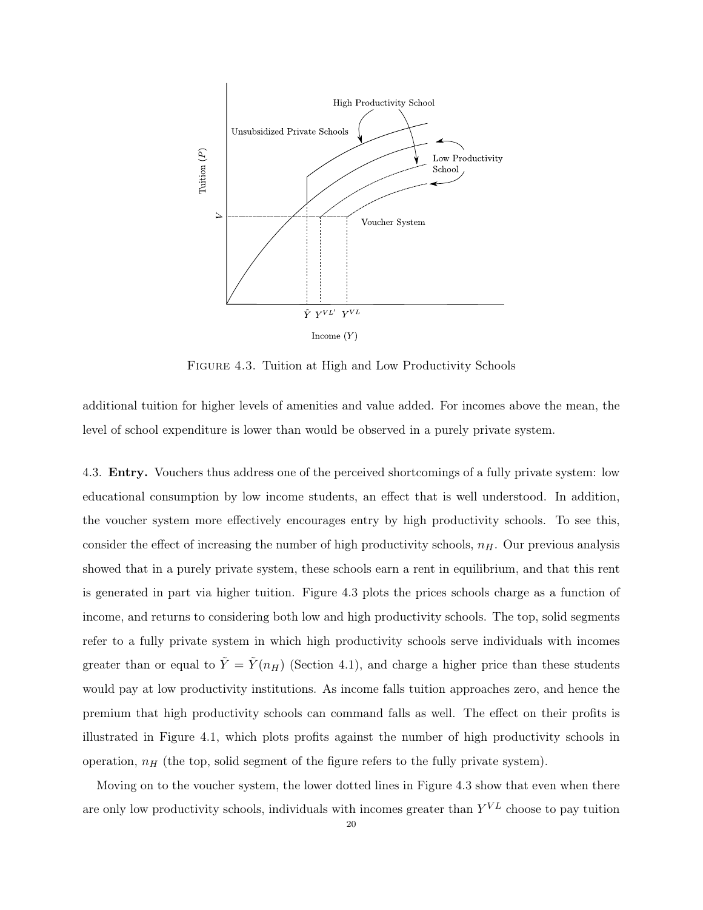

FIGURE 4.3. Tuition at High and Low Productivity Schools

additional tuition for higher levels of amenities and value added. For incomes above the mean, the level of school expenditure is lower than would be observed in a purely private system.

4.3. Entry. Vouchers thus address one of the perceived shortcomings of a fully private system: low educational consumption by low income students, an effect that is well understood. In addition, the voucher system more effectively encourages entry by high productivity schools. To see this, consider the effect of increasing the number of high productivity schools,  $n_H$ . Our previous analysis showed that in a purely private system, these schools earn a rent in equilibrium, and that this rent is generated in part via higher tuition. Figure 4.3 plots the prices schools charge as a function of income, and returns to considering both low and high productivity schools. The top, solid segments refer to a fully private system in which high productivity schools serve individuals with incomes greater than or equal to  $\tilde{Y} = \tilde{Y}(n_H)$  (Section 4.1), and charge a higher price than these students would pay at low productivity institutions. As income falls tuition approaches zero, and hence the premium that high productivity schools can command falls as well. The effect on their profits is illustrated in Figure 4.1, which plots profits against the number of high productivity schools in operation,  $n_H$  (the top, solid segment of the figure refers to the fully private system).

Moving on to the voucher system, the lower dotted lines in Figure 4.3 show that even when there are only low productivity schools, individuals with incomes greater than  $Y^{VL}$  choose to pay tuition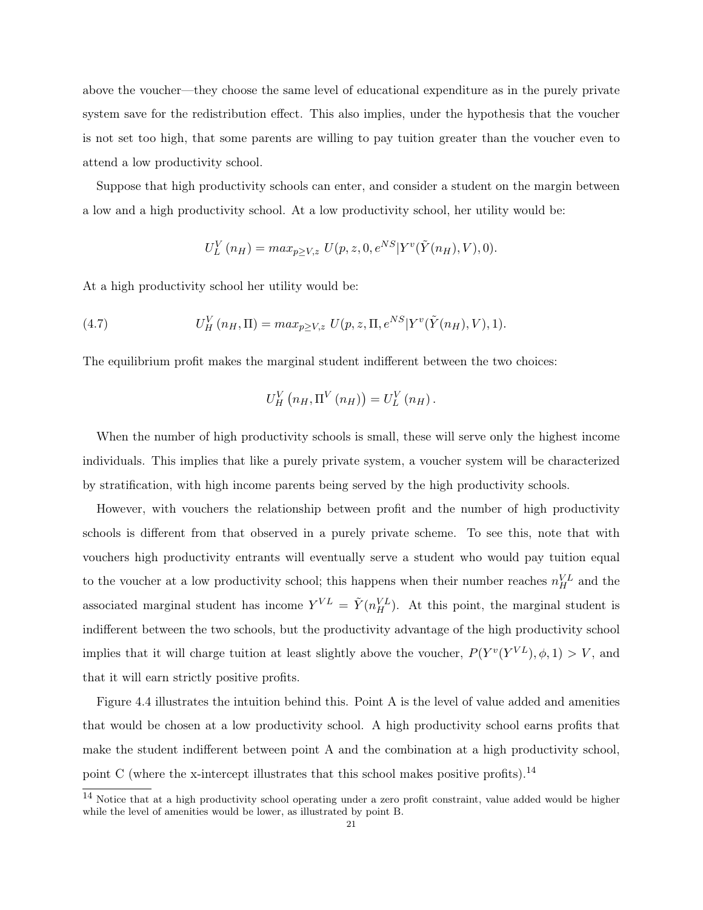above the voucher—they choose the same level of educational expenditure as in the purely private system save for the redistribution effect. This also implies, under the hypothesis that the voucher is not set too high, that some parents are willing to pay tuition greater than the voucher even to attend a low productivity school.

Suppose that high productivity schools can enter, and consider a student on the margin between a low and a high productivity school. At a low productivity school, her utility would be:

$$
U_L^V(n_H) = max_{p \ge V, z} U(p, z, 0, e^{NS} | Y^v(\tilde{Y}(n_H), V), 0).
$$

At a high productivity school her utility would be:

(4.7) 
$$
U_H^V(n_H, \Pi) = max_{p \ge V, z} U(p, z, \Pi, e^{NS} | Y^v(\tilde{Y}(n_H), V), 1).
$$

The equilibrium profit makes the marginal student indifferent between the two choices:

$$
U_{H}^{V}\left(n_{H},\Pi^{V}\left(n_{H}\right)\right)=U_{L}^{V}\left(n_{H}\right).
$$

When the number of high productivity schools is small, these will serve only the highest income individuals. This implies that like a purely private system, a voucher system will be characterized by stratification, with high income parents being served by the high productivity schools.

However, with vouchers the relationship between profit and the number of high productivity schools is different from that observed in a purely private scheme. To see this, note that with vouchers high productivity entrants will eventually serve a student who would pay tuition equal to the voucher at a low productivity school; this happens when their number reaches  $n_H^{VL}$  and the associated marginal student has income  $Y^{VL} = \tilde{Y}(n_H^{VL})$ . At this point, the marginal student is indifferent between the two schools, but the productivity advantage of the high productivity school implies that it will charge tuition at least slightly above the voucher,  $P(Y^v(Y^{VL}), \phi, 1) > V$ , and that it will earn strictly positive profits.

Figure 4.4 illustrates the intuition behind this. Point A is the level of value added and amenities that would be chosen at a low productivity school. A high productivity school earns profits that make the student indifferent between point A and the combination at a high productivity school, point C (where the x-intercept illustrates that this school makes positive profits).<sup>14</sup>

<sup>&</sup>lt;sup>14</sup> Notice that at a high productivity school operating under a zero profit constraint, value added would be higher while the level of amenities would be lower, as illustrated by point B.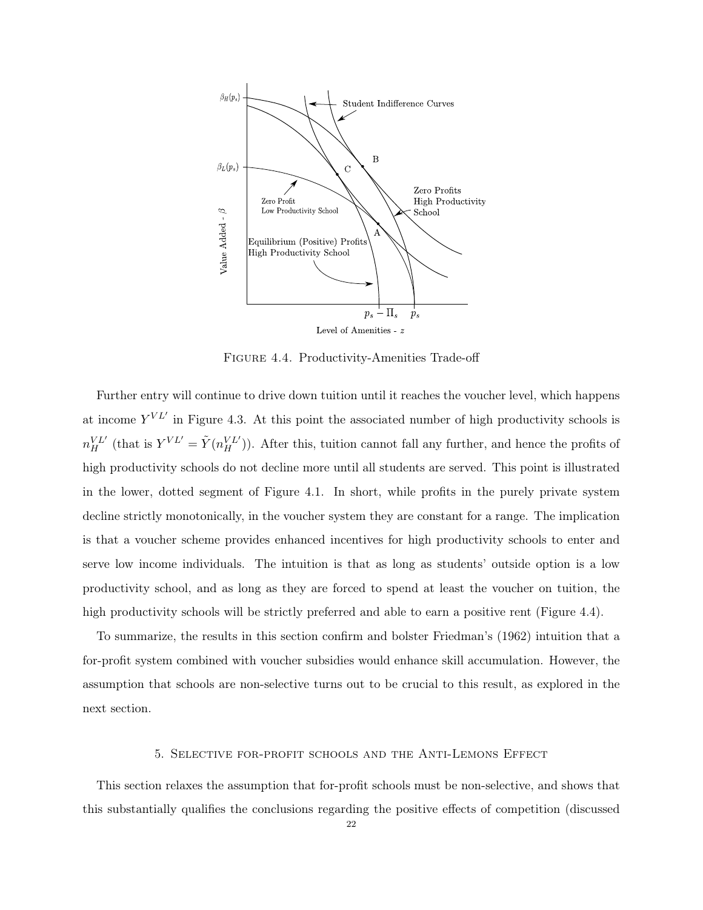

Figure 4.4. Productivity-Amenities Trade-off

Further entry will continue to drive down tuition until it reaches the voucher level, which happens at income  $Y^{VL'}$  in Figure 4.3. At this point the associated number of high productivity schools is  $n_H^{VL'}$  (that is  $Y^{VL'} = \tilde{Y}(n_H^{VL'})$ ). After this, tuition cannot fall any further, and hence the profits of high productivity schools do not decline more until all students are served. This point is illustrated in the lower, dotted segment of Figure 4.1. In short, while profits in the purely private system decline strictly monotonically, in the voucher system they are constant for a range. The implication is that a voucher scheme provides enhanced incentives for high productivity schools to enter and serve low income individuals. The intuition is that as long as students' outside option is a low productivity school, and as long as they are forced to spend at least the voucher on tuition, the high productivity schools will be strictly preferred and able to earn a positive rent (Figure 4.4).

To summarize, the results in this section confirm and bolster Friedman's (1962) intuition that a for-profit system combined with voucher subsidies would enhance skill accumulation. However, the assumption that schools are non-selective turns out to be crucial to this result, as explored in the next section.

### 5. Selective for-profit schools and the Anti-Lemons Effect

This section relaxes the assumption that for-profit schools must be non-selective, and shows that this substantially qualifies the conclusions regarding the positive effects of competition (discussed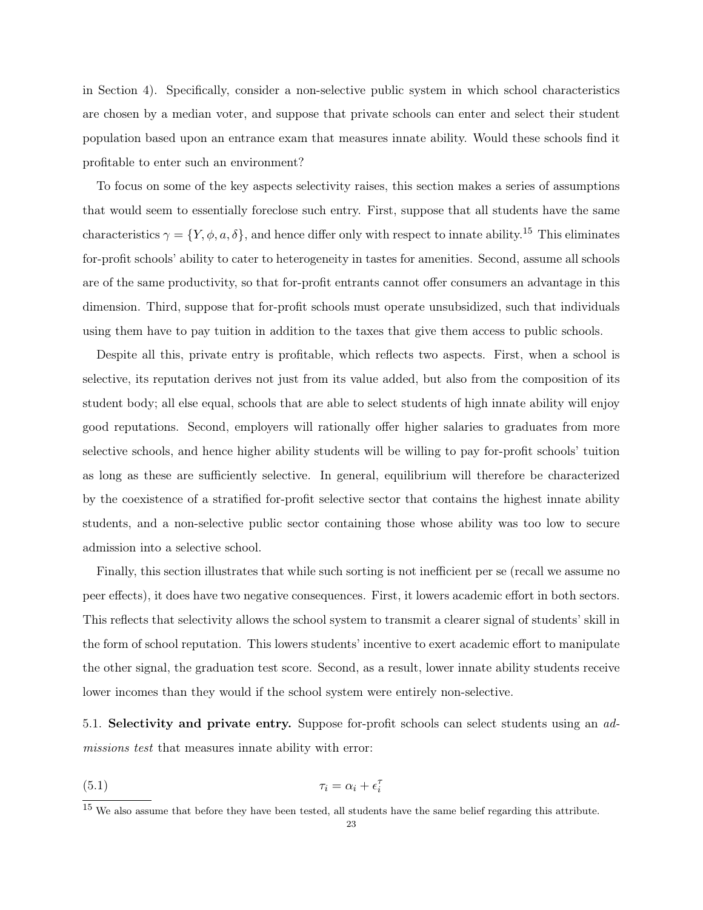in Section 4). Specifically, consider a non-selective public system in which school characteristics are chosen by a median voter, and suppose that private schools can enter and select their student population based upon an entrance exam that measures innate ability. Would these schools find it profitable to enter such an environment?

To focus on some of the key aspects selectivity raises, this section makes a series of assumptions that would seem to essentially foreclose such entry. First, suppose that all students have the same characteristics  $\gamma = \{Y, \phi, a, \delta\}$ , and hence differ only with respect to innate ability.<sup>15</sup> This eliminates for-profit schools' ability to cater to heterogeneity in tastes for amenities. Second, assume all schools are of the same productivity, so that for-profit entrants cannot offer consumers an advantage in this dimension. Third, suppose that for-profit schools must operate unsubsidized, such that individuals using them have to pay tuition in addition to the taxes that give them access to public schools.

Despite all this, private entry is profitable, which reflects two aspects. First, when a school is selective, its reputation derives not just from its value added, but also from the composition of its student body; all else equal, schools that are able to select students of high innate ability will enjoy good reputations. Second, employers will rationally offer higher salaries to graduates from more selective schools, and hence higher ability students will be willing to pay for-profit schools' tuition as long as these are sufficiently selective. In general, equilibrium will therefore be characterized by the coexistence of a stratified for-profit selective sector that contains the highest innate ability students, and a non-selective public sector containing those whose ability was too low to secure admission into a selective school.

Finally, this section illustrates that while such sorting is not inefficient per se (recall we assume no peer effects), it does have two negative consequences. First, it lowers academic effort in both sectors. This reflects that selectivity allows the school system to transmit a clearer signal of students' skill in the form of school reputation. This lowers students' incentive to exert academic effort to manipulate the other signal, the graduation test score. Second, as a result, lower innate ability students receive lower incomes than they would if the school system were entirely non-selective.

5.1. Selectivity and private entry. Suppose for-profit schools can select students using an *admissions test* that measures innate ability with error:

$$
\tau_i = \alpha_i + \epsilon_i^{\tau}
$$

 $15$  We also assume that before they have been tested, all students have the same belief regarding this attribute.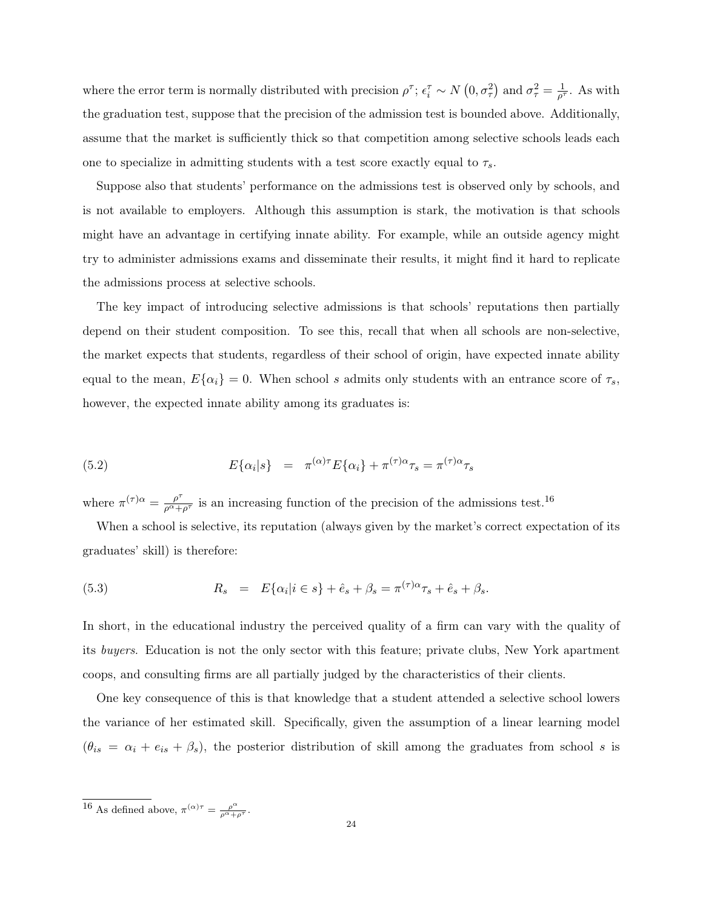where the error term is normally distributed with precision  $\rho^{\tau}$ ;  $\epsilon_i^{\tau} \sim N(0, \sigma_{\tau}^2)$  and  $\sigma_{\tau}^2 = \frac{1}{\rho^{\tau}}$ . As with the graduation test, suppose that the precision of the admission test is bounded above. Additionally, assume that the market is sufficiently thick so that competition among selective schools leads each one to specialize in admitting students with a test score exactly equal to  $\tau_s$ .

Suppose also that students' performance on the admissions test is observed only by schools, and is not available to employers. Although this assumption is stark, the motivation is that schools might have an advantage in certifying innate ability. For example, while an outside agency might try to administer admissions exams and disseminate their results, it might find it hard to replicate the admissions process at selective schools.

The key impact of introducing selective admissions is that schools' reputations then partially depend on their student composition. To see this, recall that when all schools are non-selective, the market expects that students, regardless of their school of origin, have expected innate ability equal to the mean,  $E\{\alpha_i\} = 0$ . When school s admits only students with an entrance score of  $\tau_s$ , however, the expected innate ability among its graduates is:

(5.2) 
$$
E\{\alpha_i|s\} = \pi^{(\alpha)\tau}E\{\alpha_i\} + \pi^{(\tau)\alpha}\tau_s = \pi^{(\tau)\alpha}\tau_s
$$

where  $\pi^{(\tau)}{}^{\alpha} = \frac{\rho^{\tau}}{\rho^{\alpha}+}$  $\frac{\rho^{\tau}}{\rho^{\alpha}+\rho^{\tau}}$  is an increasing function of the precision of the admissions test.<sup>16</sup>

When a school is selective, its reputation (always given by the market's correct expectation of its graduates' skill) is therefore:

(5.3) 
$$
R_s = E\{\alpha_i|i \in s\} + \hat{e}_s + \beta_s = \pi^{(\tau)\alpha}\tau_s + \hat{e}_s + \beta_s.
$$

In short, in the educational industry the perceived quality of a firm can vary with the quality of its *buyers*. Education is not the only sector with this feature; private clubs, New York apartment coops, and consulting firms are all partially judged by the characteristics of their clients.

One key consequence of this is that knowledge that a student attended a selective school lowers the variance of her estimated skill. Specifically, given the assumption of a linear learning model  $(\theta_{is} = \alpha_i + e_{is} + \beta_s)$ , the posterior distribution of skill among the graduates from school s is

<sup>&</sup>lt;sup>16</sup> As defined above,  $\pi^{(\alpha)\tau} = \frac{\rho^{\alpha}}{\rho^{\alpha} + \rho^{\tau}}$ .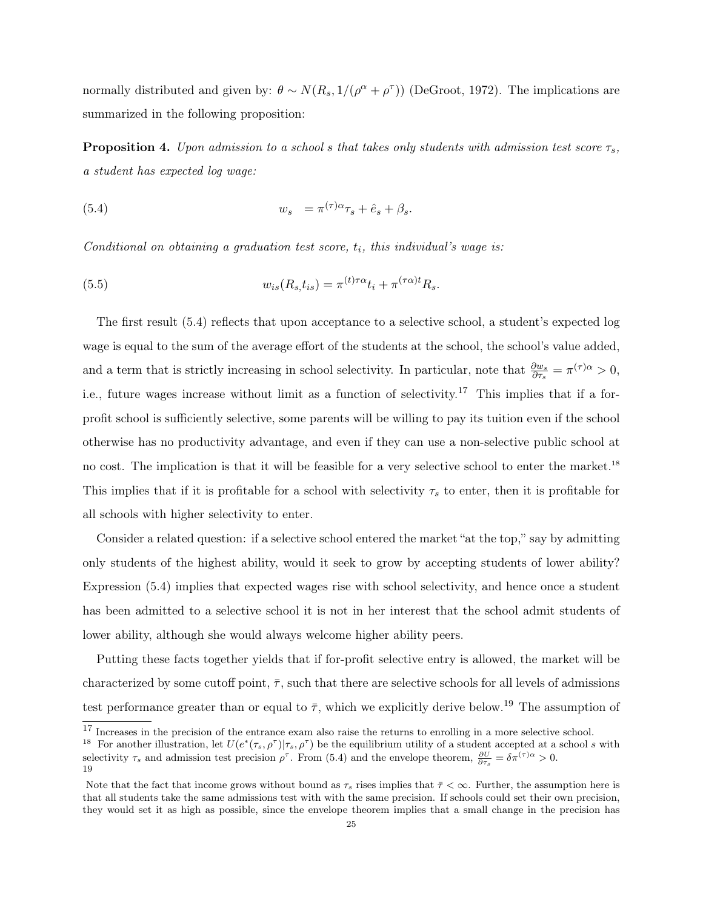normally distributed and given by:  $\theta \sim N(R_s, 1/(\rho^{\alpha} + \rho^{\tau}))$  (DeGroot, 1972). The implications are summarized in the following proposition:

**Proposition 4.** *Upon admission to a school s that takes only students with admission test score*  $\tau_s$ , *a student has expected log wage:*

(5.4) 
$$
w_s = \pi^{(\tau)\alpha}\tau_s + \hat{e}_s + \beta_s.
$$

*Conditional on obtaining a graduation test score*,  $t_i$ *, this individual's wage is:* 

(5.5) 
$$
w_{is}(R_s,t_{is}) = \pi^{(t)\tau\alpha}t_i + \pi^{(\tau\alpha)t}R_s.
$$

The first result (5.4) reflects that upon acceptance to a selective school, a student's expected log wage is equal to the sum of the average effort of the students at the school, the school's value added, and a term that is strictly increasing in school selectivity. In particular, note that  $\frac{\partial w_s}{\partial \tau_s} = \pi^{(\tau)\alpha} > 0$ , i.e., future wages increase without limit as a function of selectivity.<sup>17</sup> This implies that if a forprofit school is sufficiently selective, some parents will be willing to pay its tuition even if the school otherwise has no productivity advantage, and even if they can use a non-selective public school at no cost. The implication is that it will be feasible for a very selective school to enter the market.<sup>18</sup> This implies that if it is profitable for a school with selectivity  $\tau_s$  to enter, then it is profitable for all schools with higher selectivity to enter.

Consider a related question: if a selective school entered the market "at the top," say by admitting only students of the highest ability, would it seek to grow by accepting students of lower ability? Expression (5.4) implies that expected wages rise with school selectivity, and hence once a student has been admitted to a selective school it is not in her interest that the school admit students of lower ability, although she would always welcome higher ability peers.

Putting these facts together yields that if for-profit selective entry is allowed, the market will be characterized by some cutoff point,  $\bar{\tau}$ , such that there are selective schools for all levels of admissions test performance greater than or equal to  $\bar{\tau}$ , which we explicitly derive below.<sup>19</sup> The assumption of

<sup>&</sup>lt;sup>17</sup> Increases in the precision of the entrance exam also raise the returns to enrolling in a more selective school.

<sup>&</sup>lt;sup>18</sup> For another illustration, let  $U(e^*(\tau_s, \rho^\tau) | \tau_s, \rho^\tau)$  be the equilibrium utility of a student accepted at a school s with selectivity  $\tau_s$  and admission test precision  $\rho^{\tau}$ . From (5.4) and the envelope theorem,  $\frac{\partial U}{\partial \tau_s} = \delta \pi^{(\tau) \alpha} > 0$ .

<sup>19</sup>

Note that the fact that income grows without bound as  $\tau_s$  rises implies that  $\bar{\tau} < \infty$ . Further, the assumption here is that all students take the same admissions test with with the same precision. If schools could set their own precision, they would set it as high as possible, since the envelope theorem implies that a small change in the precision has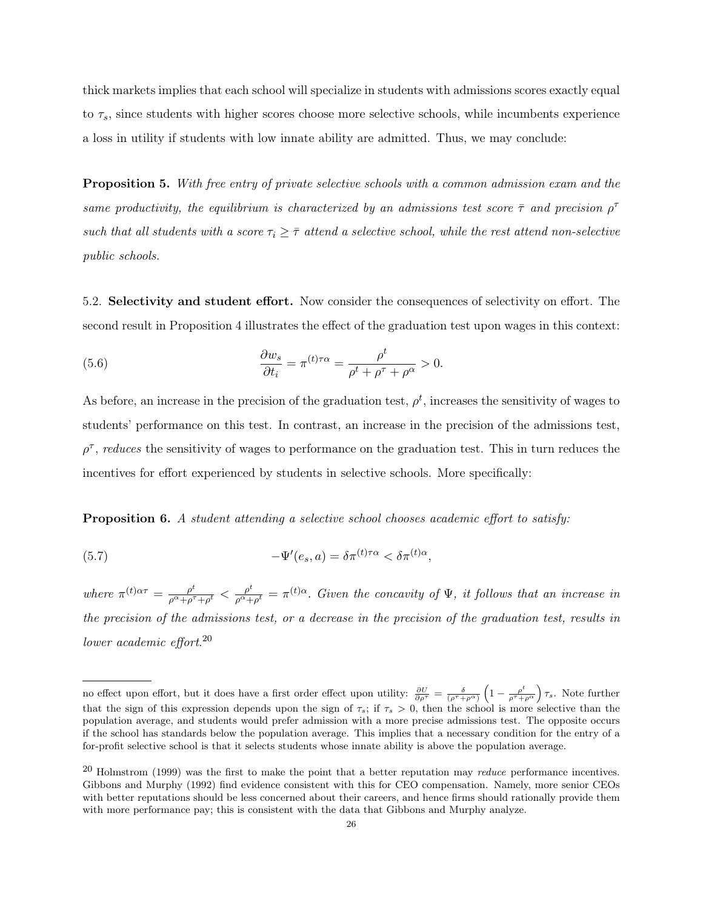thick markets implies that each school will specialize in students with admissions scores exactly equal to  $\tau_s$ , since students with higher scores choose more selective schools, while incumbents experience a loss in utility if students with low innate ability are admitted. Thus, we may conclude:

Proposition 5. *With free entry of private selective schools with a common admission exam and the same* productivity, the equilibrium is characterized by an admissions test score  $\bar{\tau}$  and precision  $\rho^{\tau}$ *such* that all students with a score  $\tau_i \geq \overline{\tau}$  attend a selective school, while the rest attend non-selective *public schools.*

5.2. Selectivity and student effort. Now consider the consequences of selectivity on effort. The second result in Proposition 4 illustrates the effect of the graduation test upon wages in this context:

(5.6) 
$$
\frac{\partial w_s}{\partial t_i} = \pi^{(t)\tau\alpha} = \frac{\rho^t}{\rho^t + \rho^\tau + \rho^\alpha} > 0.
$$

As before, an increase in the precision of the graduation test,  $\rho^t$ , increases the sensitivity of wages to students' performance on this test. In contrast, an increase in the precision of the admissions test,  $\rho^{\tau}$ , *reduces* the sensitivity of wages to performance on the graduation test. This in turn reduces the incentives for effort experienced by students in selective schools. More specifically:

Proposition 6. *A student attending a selective school chooses academic effort to satisfy:*

(5.7) 
$$
-\Psi'(e_s, a) = \delta \pi^{(t)\tau\alpha} < \delta \pi^{(t)\alpha},
$$

where  $\pi^{(t)\alpha\tau} = \frac{\rho^t}{\rho^{\alpha} + \rho^{\tau}}$  $\frac{\rho^t}{\rho^{\alpha}+\rho^{\tau}+\rho^t} < \frac{\rho^t}{\rho^{\alpha}+}$  $\frac{\rho^c}{\rho^{\alpha} + \rho^t} = \pi^{(t)\alpha}$ . *Given the concavity of*  $\Psi$ *, it follows that an increase in* the precision of the admissions test, or a decrease in the precision of the graduation test, results in *lower academic effort*. 20

no effect upon effort, but it does have a first order effect upon utility:  $\frac{\partial U}{\partial \rho^{\tau}} = \frac{\delta}{(\rho^{\tau} + \rho^{\alpha})} \left(1 - \frac{\rho^t}{\rho^{\tau} + \rho^{\alpha}}\right) \tau_s$ . Note further that the sign of this expression depends upon the sign of  $\tau_s$ ; if  $\tau_s > 0$ , then the school is more selective than the population average, and students would prefer admission with a more precise admissions test. The opposite occurs if the school has standards below the population average. This implies that a necessary condition for the entry of a for-profit selective school is that it selects students whose innate ability is above the population average.

<sup>20</sup> Holmstrom (1999) was the first to make the point that <sup>a</sup> better reputation may *reduce* performance incentives. Gibbons and Murphy (1992) find evidence consistent with this for CEO compensation. Namely, more senior CEOs with better reputations should be less concerned about their careers, and hence firms should rationally provide them with more performance pay; this is consistent with the data that Gibbons and Murphy analyze.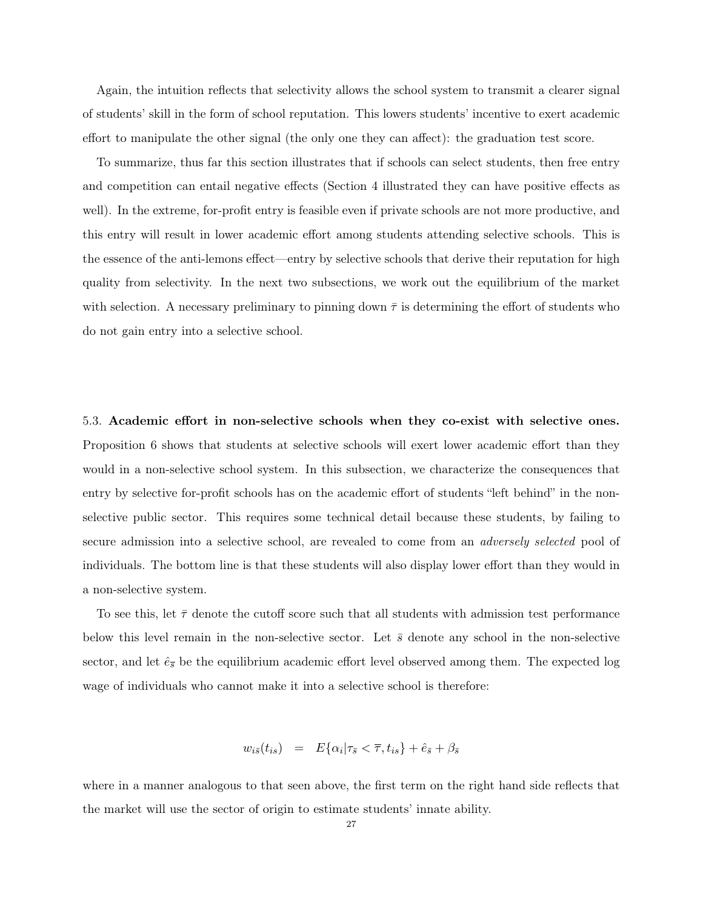Again, the intuition reflects that selectivity allows the school system to transmit a clearer signal of students' skill in the form of school reputation. This lowers students' incentive to exert academic effort to manipulate the other signal (the only one they can affect): the graduation test score.

To summarize, thus far this section illustrates that if schools can select students, then free entry and competition can entail negative effects (Section 4 illustrated they can have positive effects as well). In the extreme, for-profit entry is feasible even if private schools are not more productive, and this entry will result in lower academic effort among students attending selective schools. This is the essence of the anti-lemons effect—entry by selective schools that derive their reputation for high quality from selectivity. In the next two subsections, we work out the equilibrium of the market with selection. A necessary preliminary to pinning down  $\bar{\tau}$  is determining the effort of students who do not gain entry into a selective school.

5.3. Academic effort in non-selective schools when they co-exist with selective ones. Proposition 6 shows that students at selective schools will exert lower academic effort than they would in a non-selective school system. In this subsection, we characterize the consequences that entry by selective for-profit schools has on the academic effort of students "left behind" in the nonselective public sector. This requires some technical detail because these students, by failing to secure admission into a selective school, are revealed to come from an *adversely selected* pool of individuals. The bottom line is that these students will also display lower effort than they would in a non-selective system.

To see this, let  $\bar{\tau}$  denote the cutoff score such that all students with admission test performance below this level remain in the non-selective sector. Let  $\bar{s}$  denote any school in the non-selective sector, and let  $\hat{e}_{\overline{s}}$  be the equilibrium academic effort level observed among them. The expected log wage of individuals who cannot make it into a selective school is therefore:

$$
w_{i\bar{s}}(t_{is}) = E\{\alpha_i|\tau_{\bar{s}} < \overline{\tau}, t_{is}\} + \hat{e}_{\bar{s}} + \beta_{\bar{s}}
$$

where in a manner analogous to that seen above, the first term on the right hand side reflects that the market will use the sector of origin to estimate students' innate ability.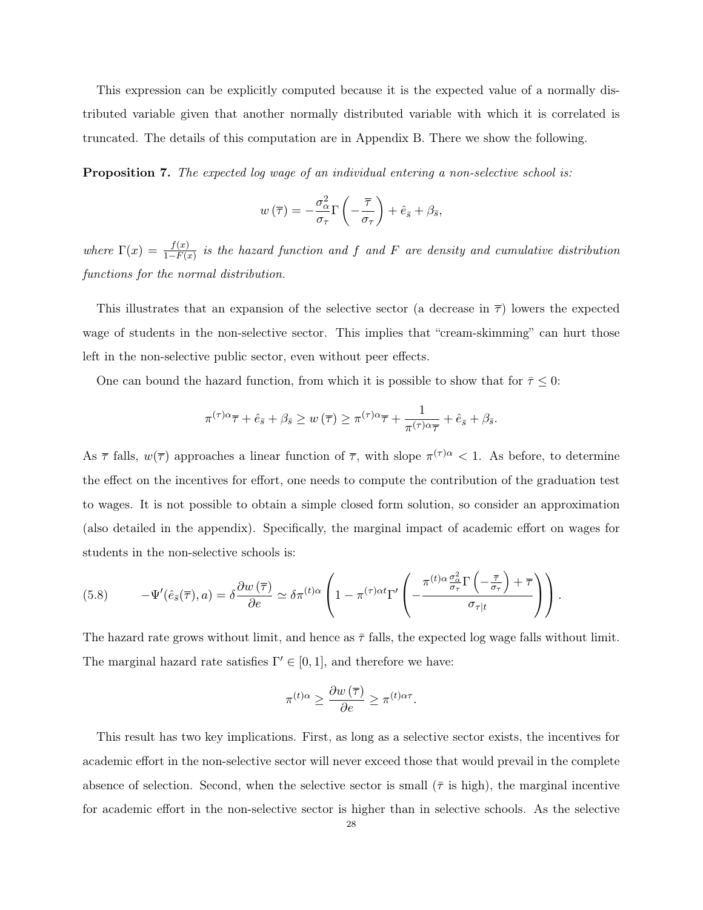This expression can be explicitly computed because it is the expected value of a normally distributed variable given that another normally distributed variable with which it is correlated is truncated. The details of this computation are in Appendix B. There we show the following.

Proposition 7. *The expected log wage of an individual entering a non-selective school is:*

$$
w(\overline{\tau}) = -\frac{\sigma_{\alpha}^2}{\sigma_{\tau}} \Gamma\left(-\frac{\overline{\tau}}{\sigma_{\tau}}\right) + \hat{e}_{\overline{s}} + \beta_{\overline{s}},
$$

*where*  $\Gamma(x) = \frac{f(x)}{1 - F(x)}$ 1−F(x) *is the hazard function and* f *and* F *are density and cumulative distribution functions for the normal distribution.*

This illustrates that an expansion of the selective sector (a decrease in  $\bar{\tau}$ ) lowers the expected wage of students in the non-selective sector. This implies that "cream-skimming" can hurt those left in the non-selective public sector, even without peer effects.

One can bound the hazard function, from which it is possible to show that for  $\bar{\tau} \leq 0$ :

$$
\pi^{(\tau)\alpha}\overline{\tau} + \hat{e}_{\bar{s}} + \beta_{\bar{s}} \ge w(\overline{\tau}) \ge \pi^{(\tau)\alpha}\overline{\tau} + \frac{1}{\pi^{(\tau)\alpha}\overline{\tau}} + \hat{e}_{\bar{s}} + \beta_{\bar{s}}.
$$

As  $\bar{\tau}$  falls,  $w(\bar{\tau})$  approaches a linear function of  $\bar{\tau}$ , with slope  $\pi^{(\tau)\alpha}$  < 1. As before, to determine the effect on the incentives for effort, one needs to compute the contribution of the graduation test to wages. It is not possible to obtain a simple closed form solution, so consider an approximation (also detailed in the appendix). Specifically, the marginal impact of academic effort on wages for students in the non-selective schools is:

(5.8) 
$$
-\Psi'(\hat{e}_{\bar{s}}(\overline{\tau}),a) = \delta \frac{\partial w(\overline{\tau})}{\partial e} \simeq \delta \pi^{(t)\alpha} \left(1 - \pi^{(\tau)\alpha t} \Gamma'\left(-\frac{\pi^{(t)\alpha} \frac{\sigma_{\alpha}^2}{\sigma_{\tau}} \Gamma\left(-\frac{\overline{\tau}}{\sigma_{\tau}}\right) + \overline{\tau}}{\sigma_{\tau|t}}\right)\right).
$$

The hazard rate grows without limit, and hence as  $\bar{\tau}$  falls, the expected log wage falls without limit. The marginal hazard rate satisfies  $\Gamma' \in [0,1]$ , and therefore we have:

$$
\pi^{(t)\alpha} \ge \frac{\partial w(\overline{\tau})}{\partial e} \ge \pi^{(t)\alpha\tau}.
$$

This result has two key implications. First, as long as a selective sector exists, the incentives for academic effort in the non-selective sector will never exceed those that would prevail in the complete absence of selection. Second, when the selective sector is small ( $\bar{\tau}$  is high), the marginal incentive for academic effort in the non-selective sector is higher than in selective schools. As the selective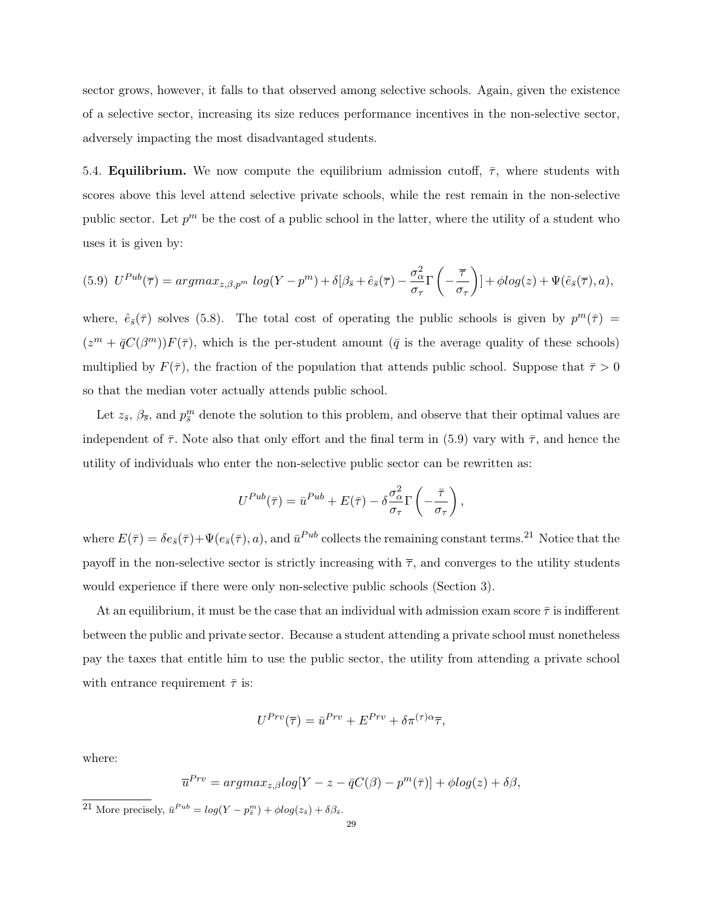sector grows, however, it falls to that observed among selective schools. Again, given the existence of a selective sector, increasing its size reduces performance incentives in the non-selective sector, adversely impacting the most disadvantaged students.

5.4. **Equilibrium.** We now compute the equilibrium admission cutoff,  $\bar{\tau}$ , where students with scores above this level attend selective private schools, while the rest remain in the non-selective public sector. Let  $p^m$  be the cost of a public school in the latter, where the utility of a student who uses it is given by:

$$
(5.9) \ \ U^{Pub}(\overline{\tau}) = argmax_{z,\beta,p^m} log(Y-p^m) + \delta[\beta_{\bar{s}} + \hat{e}_{\bar{s}}(\overline{\tau}) - \frac{\sigma_{\alpha}^2}{\sigma_{\tau}} \Gamma\left(-\frac{\overline{\tau}}{\sigma_{\tau}}\right)] + \phi log(z) + \Psi(\hat{e}_{\bar{s}}(\overline{\tau}),a),
$$

where,  $\hat{e}_{\bar{s}}(\bar{\tau})$  solves (5.8). The total cost of operating the public schools is given by  $p^m(\bar{\tau}) =$  $(z^m + \bar{q}C(\beta^m))F(\bar{\tau})$ , which is the per-student amount ( $\bar{q}$  is the average quality of these schools) multiplied by  $F(\bar{\tau})$ , the fraction of the population that attends public school. Suppose that  $\bar{\tau} > 0$ so that the median voter actually attends public school.

Let  $z_{\bar{s}}, \beta_{\bar{s}},$  and  $p_{\bar{s}}^m$  denote the solution to this problem, and observe that their optimal values are independent of  $\bar{\tau}$ . Note also that only effort and the final term in (5.9) vary with  $\bar{\tau}$ , and hence the utility of individuals who enter the non-selective public sector can be rewritten as:

$$
U^{Pub}(\bar{\tau}) = \bar{u}^{Pub} + E(\bar{\tau}) - \delta \frac{\sigma_{\alpha}^2}{\sigma_{\tau}} \Gamma \left(-\frac{\bar{\tau}}{\sigma_{\tau}}\right),
$$

where  $E(\bar{\tau}) = \delta e_{\bar{s}}(\bar{\tau}) + \Psi(e_{\bar{s}}(\bar{\tau}), a)$ , and  $\bar{u}^{Pub}$  collects the remaining constant terms.<sup>21</sup> Notice that the payoff in the non-selective sector is strictly increasing with  $\bar{\tau}$ , and converges to the utility students would experience if there were only non-selective public schools (Section 3).

At an equilibrium, it must be the case that an individual with admission exam score  $\bar{\tau}$  is indifferent between the public and private sector. Because a student attending a private school must nonetheless pay the taxes that entitle him to use the public sector, the utility from attending a private school with entrance requirement  $\bar{\tau}$  is:

$$
U^{Prv}(\overline{\tau}) = \overline{u}^{Prv} + E^{Prv} + \delta \pi^{(\tau)\alpha} \overline{\tau},
$$

where:

$$
\overline{u}^{Prv} = argmax_{z,\beta} log[Y - z - \overline{q}C(\beta) - p^m(\overline{\tau})] + \phi log(z) + \delta\beta,
$$

<sup>&</sup>lt;sup>21</sup> More precisely,  $\bar{u}^{Pub} = log(Y - p_{\bar{s}}^m) + \phi log(z_{\bar{s}}) + \delta \beta_{\bar{s}}$ .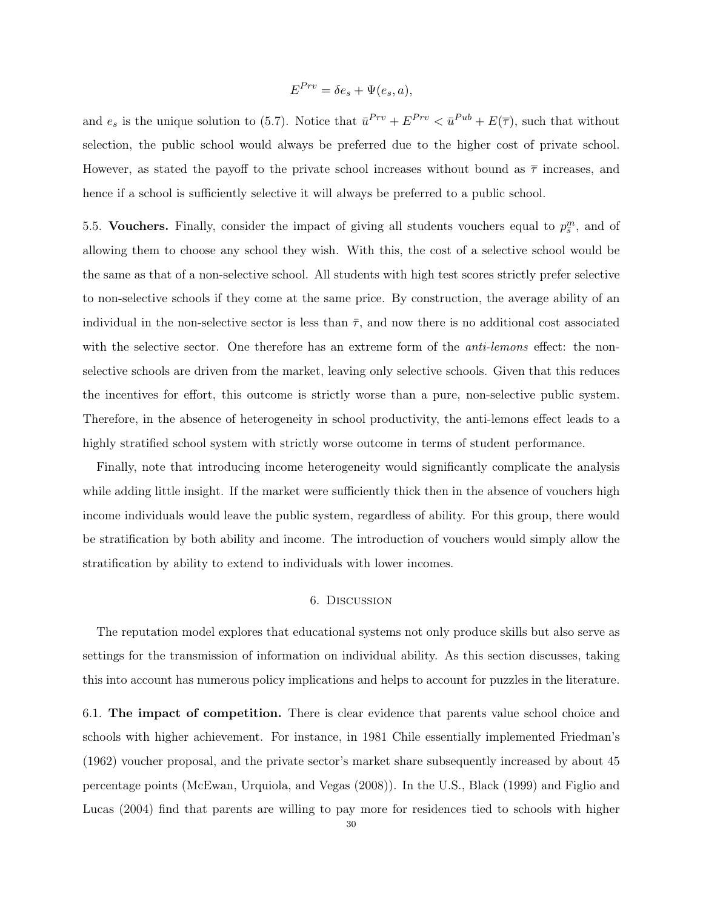$$
E^{Prv} = \delta e_s + \Psi(e_s, a),
$$

and  $e_s$  is the unique solution to (5.7). Notice that  $\bar{u}^{Prv} + E^{Prv} < \bar{u}^{Pub} + E(\bar{\tau})$ , such that without selection, the public school would always be preferred due to the higher cost of private school. However, as stated the payoff to the private school increases without bound as  $\bar{\tau}$  increases, and hence if a school is sufficiently selective it will always be preferred to a public school.

5.5. Vouchers. Finally, consider the impact of giving all students vouchers equal to  $p_{\overline{s}}^m$ , and of allowing them to choose any school they wish. With this, the cost of a selective school would be the same as that of a non-selective school. All students with high test scores strictly prefer selective to non-selective schools if they come at the same price. By construction, the average ability of an individual in the non-selective sector is less than  $\bar{\tau}$ , and now there is no additional cost associated with the selective sector. One therefore has an extreme form of the *anti-lemons* effect: the nonselective schools are driven from the market, leaving only selective schools. Given that this reduces the incentives for effort, this outcome is strictly worse than a pure, non-selective public system. Therefore, in the absence of heterogeneity in school productivity, the anti-lemons effect leads to a highly stratified school system with strictly worse outcome in terms of student performance.

Finally, note that introducing income heterogeneity would significantly complicate the analysis while adding little insight. If the market were sufficiently thick then in the absence of vouchers high income individuals would leave the public system, regardless of ability. For this group, there would be stratification by both ability and income. The introduction of vouchers would simply allow the stratification by ability to extend to individuals with lower incomes.

### 6. Discussion

The reputation model explores that educational systems not only produce skills but also serve as settings for the transmission of information on individual ability. As this section discusses, taking this into account has numerous policy implications and helps to account for puzzles in the literature.

6.1. The impact of competition. There is clear evidence that parents value school choice and schools with higher achievement. For instance, in 1981 Chile essentially implemented Friedman's (1962) voucher proposal, and the private sector's market share subsequently increased by about 45 percentage points (McEwan, Urquiola, and Vegas (2008)). In the U.S., Black (1999) and Figlio and Lucas (2004) find that parents are willing to pay more for residences tied to schools with higher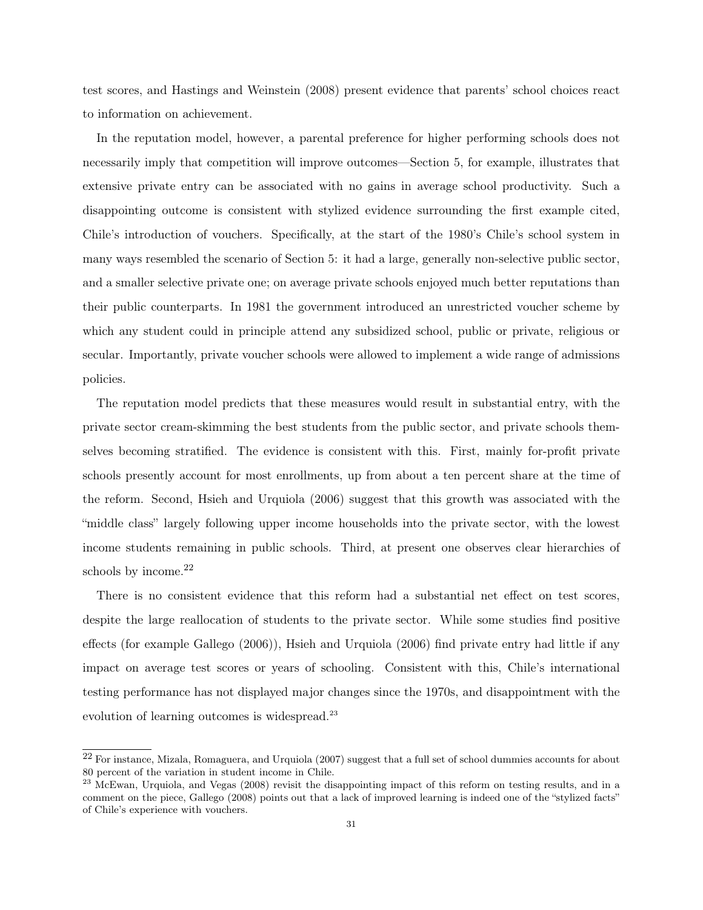test scores, and Hastings and Weinstein (2008) present evidence that parents' school choices react to information on achievement.

In the reputation model, however, a parental preference for higher performing schools does not necessarily imply that competition will improve outcomes—Section 5, for example, illustrates that extensive private entry can be associated with no gains in average school productivity. Such a disappointing outcome is consistent with stylized evidence surrounding the first example cited, Chile's introduction of vouchers. Specifically, at the start of the 1980's Chile's school system in many ways resembled the scenario of Section 5: it had a large, generally non-selective public sector, and a smaller selective private one; on average private schools enjoyed much better reputations than their public counterparts. In 1981 the government introduced an unrestricted voucher scheme by which any student could in principle attend any subsidized school, public or private, religious or secular. Importantly, private voucher schools were allowed to implement a wide range of admissions policies.

The reputation model predicts that these measures would result in substantial entry, with the private sector cream-skimming the best students from the public sector, and private schools themselves becoming stratified. The evidence is consistent with this. First, mainly for-profit private schools presently account for most enrollments, up from about a ten percent share at the time of the reform. Second, Hsieh and Urquiola (2006) suggest that this growth was associated with the "middle class" largely following upper income households into the private sector, with the lowest income students remaining in public schools. Third, at present one observes clear hierarchies of schools by income.<sup>22</sup>

There is no consistent evidence that this reform had a substantial net effect on test scores, despite the large reallocation of students to the private sector. While some studies find positive effects (for example Gallego (2006)), Hsieh and Urquiola (2006) find private entry had little if any impact on average test scores or years of schooling. Consistent with this, Chile's international testing performance has not displayed major changes since the 1970s, and disappointment with the evolution of learning outcomes is widespread.<sup>23</sup>

 $^{22}$  For instance, Mizala, Romaguera, and Urquiola (2007) suggest that a full set of school dummies accounts for about 80 percent of the variation in student income in Chile.

 $^{23}$  McEwan, Urquiola, and Vegas (2008) revisit the disappointing impact of this reform on testing results, and in a comment on the piece, Gallego (2008) points out that a lack of improved learning is indeed one of the "stylized facts" of Chile's experience with vouchers.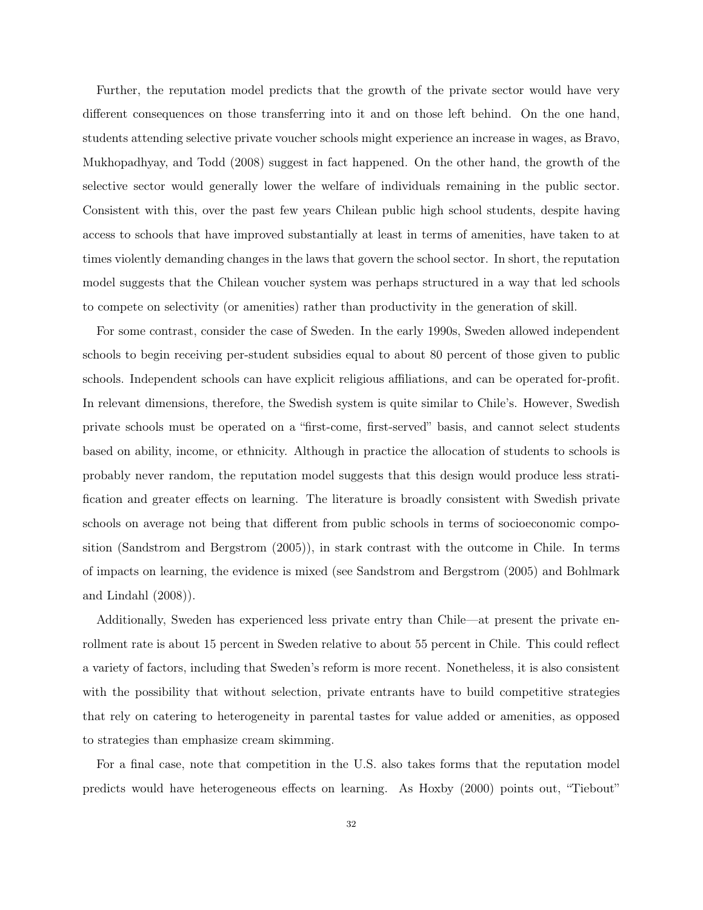Further, the reputation model predicts that the growth of the private sector would have very different consequences on those transferring into it and on those left behind. On the one hand, students attending selective private voucher schools might experience an increase in wages, as Bravo, Mukhopadhyay, and Todd (2008) suggest in fact happened. On the other hand, the growth of the selective sector would generally lower the welfare of individuals remaining in the public sector. Consistent with this, over the past few years Chilean public high school students, despite having access to schools that have improved substantially at least in terms of amenities, have taken to at times violently demanding changes in the laws that govern the school sector. In short, the reputation model suggests that the Chilean voucher system was perhaps structured in a way that led schools to compete on selectivity (or amenities) rather than productivity in the generation of skill.

For some contrast, consider the case of Sweden. In the early 1990s, Sweden allowed independent schools to begin receiving per-student subsidies equal to about 80 percent of those given to public schools. Independent schools can have explicit religious affiliations, and can be operated for-profit. In relevant dimensions, therefore, the Swedish system is quite similar to Chile's. However, Swedish private schools must be operated on a "first-come, first-served" basis, and cannot select students based on ability, income, or ethnicity. Although in practice the allocation of students to schools is probably never random, the reputation model suggests that this design would produce less stratification and greater effects on learning. The literature is broadly consistent with Swedish private schools on average not being that different from public schools in terms of socioeconomic composition (Sandstrom and Bergstrom (2005)), in stark contrast with the outcome in Chile. In terms of impacts on learning, the evidence is mixed (see Sandstrom and Bergstrom (2005) and Bohlmark and Lindahl (2008)).

Additionally, Sweden has experienced less private entry than Chile—at present the private enrollment rate is about 15 percent in Sweden relative to about 55 percent in Chile. This could reflect a variety of factors, including that Sweden's reform is more recent. Nonetheless, it is also consistent with the possibility that without selection, private entrants have to build competitive strategies that rely on catering to heterogeneity in parental tastes for value added or amenities, as opposed to strategies than emphasize cream skimming.

For a final case, note that competition in the U.S. also takes forms that the reputation model predicts would have heterogeneous effects on learning. As Hoxby (2000) points out, "Tiebout"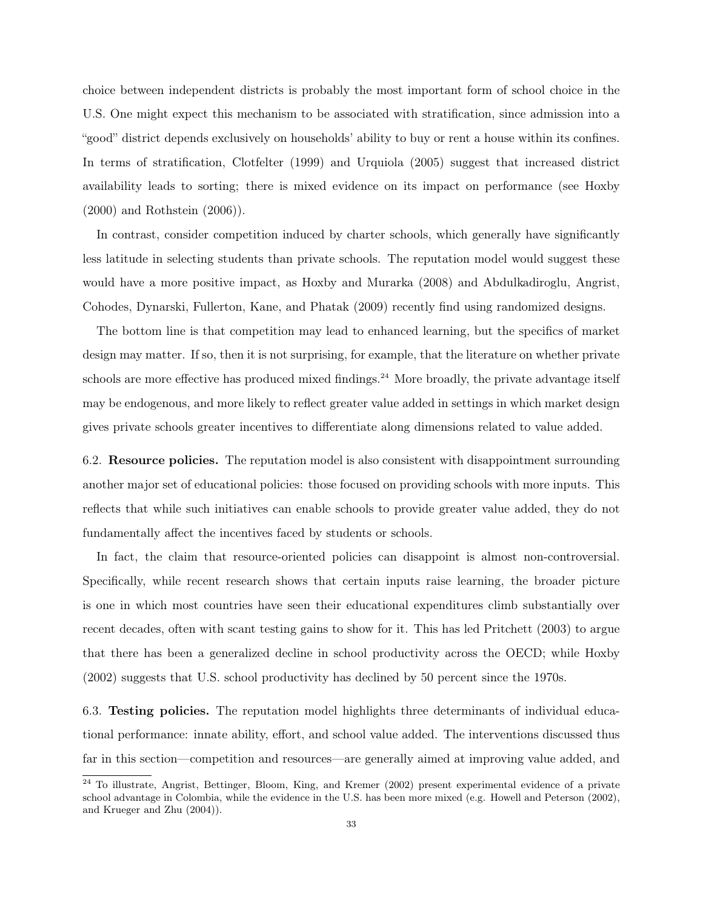choice between independent districts is probably the most important form of school choice in the U.S. One might expect this mechanism to be associated with stratification, since admission into a "good" district depends exclusively on households' ability to buy or rent a house within its confines. In terms of stratification, Clotfelter (1999) and Urquiola (2005) suggest that increased district availability leads to sorting; there is mixed evidence on its impact on performance (see Hoxby (2000) and Rothstein (2006)).

In contrast, consider competition induced by charter schools, which generally have significantly less latitude in selecting students than private schools. The reputation model would suggest these would have a more positive impact, as Hoxby and Murarka (2008) and Abdulkadiroglu, Angrist, Cohodes, Dynarski, Fullerton, Kane, and Phatak (2009) recently find using randomized designs.

The bottom line is that competition may lead to enhanced learning, but the specifics of market design may matter. If so, then it is not surprising, for example, that the literature on whether private schools are more effective has produced mixed findings.<sup>24</sup> More broadly, the private advantage itself may be endogenous, and more likely to reflect greater value added in settings in which market design gives private schools greater incentives to differentiate along dimensions related to value added.

6.2. Resource policies. The reputation model is also consistent with disappointment surrounding another major set of educational policies: those focused on providing schools with more inputs. This reflects that while such initiatives can enable schools to provide greater value added, they do not fundamentally affect the incentives faced by students or schools.

In fact, the claim that resource-oriented policies can disappoint is almost non-controversial. Specifically, while recent research shows that certain inputs raise learning, the broader picture is one in which most countries have seen their educational expenditures climb substantially over recent decades, often with scant testing gains to show for it. This has led Pritchett (2003) to argue that there has been a generalized decline in school productivity across the OECD; while Hoxby (2002) suggests that U.S. school productivity has declined by 50 percent since the 1970s.

6.3. Testing policies. The reputation model highlights three determinants of individual educational performance: innate ability, effort, and school value added. The interventions discussed thus far in this section—competition and resources—are generally aimed at improving value added, and

<sup>&</sup>lt;sup>24</sup> To illustrate, Angrist, Bettinger, Bloom, King, and Kremer (2002) present experimental evidence of a private school advantage in Colombia, while the evidence in the U.S. has been more mixed (e.g. Howell and Peterson (2002), and Krueger and Zhu (2004)).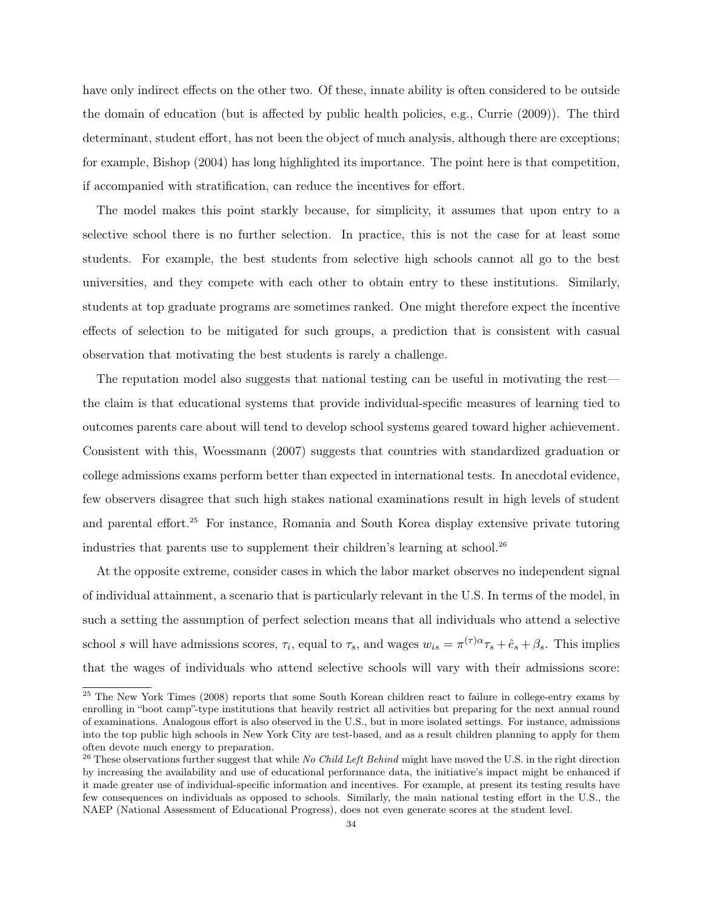have only indirect effects on the other two. Of these, innate ability is often considered to be outside the domain of education (but is affected by public health policies, e.g., Currie (2009)). The third determinant, student effort, has not been the object of much analysis, although there are exceptions; for example, Bishop (2004) has long highlighted its importance. The point here is that competition, if accompanied with stratification, can reduce the incentives for effort.

The model makes this point starkly because, for simplicity, it assumes that upon entry to a selective school there is no further selection. In practice, this is not the case for at least some students. For example, the best students from selective high schools cannot all go to the best universities, and they compete with each other to obtain entry to these institutions. Similarly, students at top graduate programs are sometimes ranked. One might therefore expect the incentive effects of selection to be mitigated for such groups, a prediction that is consistent with casual observation that motivating the best students is rarely a challenge.

The reputation model also suggests that national testing can be useful in motivating the rest the claim is that educational systems that provide individual-specific measures of learning tied to outcomes parents care about will tend to develop school systems geared toward higher achievement. Consistent with this, Woessmann (2007) suggests that countries with standardized graduation or college admissions exams perform better than expected in international tests. In anecdotal evidence, few observers disagree that such high stakes national examinations result in high levels of student and parental effort.<sup>25</sup> For instance, Romania and South Korea display extensive private tutoring industries that parents use to supplement their children's learning at school.<sup>26</sup>

At the opposite extreme, consider cases in which the labor market observes no independent signal of individual attainment, a scenario that is particularly relevant in the U.S. In terms of the model, in such a setting the assumption of perfect selection means that all individuals who attend a selective school s will have admissions scores,  $\tau_i$ , equal to  $\tau_s$ , and wages  $w_{is} = \pi^{(\tau)\alpha}\tau_s + \hat{e}_s + \beta_s$ . This implies that the wages of individuals who attend selective schools will vary with their admissions score:

<sup>&</sup>lt;sup>25</sup> The New York Times (2008) reports that some South Korean children react to failure in college-entry exams by enrolling in "boot camp"-type institutions that heavily restrict all activities but preparing for the next annual round of examinations. Analogous effort is also observed in the U.S., but in more isolated settings. For instance, admissions into the top public high schools in New York City are test-based, and as a result children planning to apply for them often devote much energy to preparation.

<sup>26</sup> These observations further suggest that while *No Child Left Behind* might have moved the U.S. in the right direction by increasing the availability and use of educational performance data, the initiative's impact might be enhanced if it made greater use of individual-specific information and incentives. For example, at present its testing results have few consequences on individuals as opposed to schools. Similarly, the main national testing effort in the U.S., the NAEP (National Assessment of Educational Progress), does not even generate scores at the student level.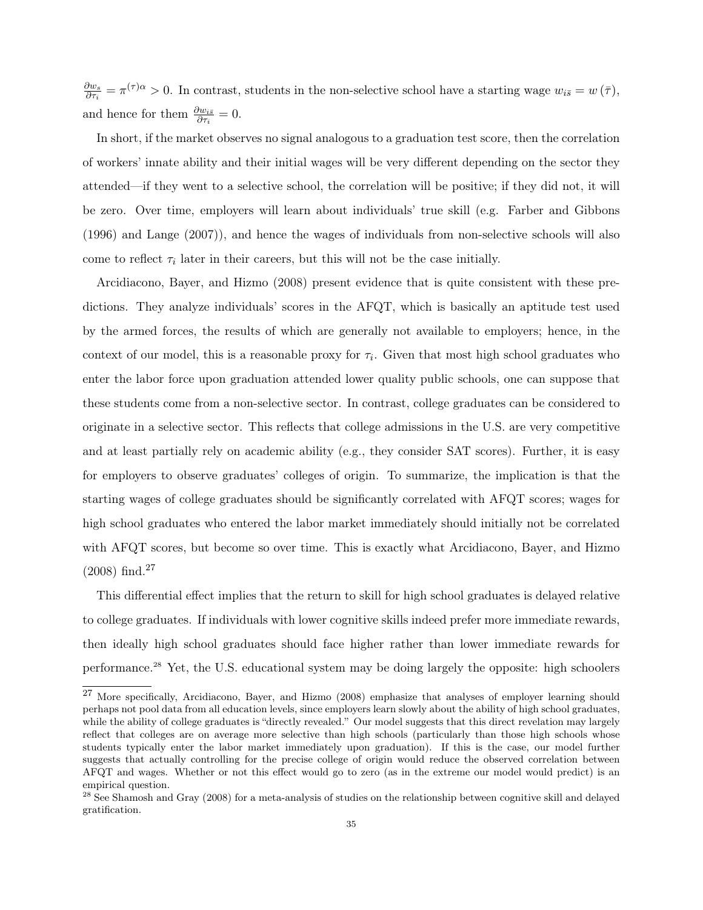$\partial w_s$  $\frac{\partial w_s}{\partial \tau_i} = \pi^{(\tau)} \sim 0$ . In contrast, students in the non-selective school have a starting wage  $w_{i\bar{s}} = w(\bar{\tau})$ , and hence for them  $\frac{\partial w_{i\bar{s}}}{\partial \tau_i} = 0$ .

In short, if the market observes no signal analogous to a graduation test score, then the correlation of workers' innate ability and their initial wages will be very different depending on the sector they attended—if they went to a selective school, the correlation will be positive; if they did not, it will be zero. Over time, employers will learn about individuals' true skill (e.g. Farber and Gibbons (1996) and Lange (2007)), and hence the wages of individuals from non-selective schools will also come to reflect  $\tau_i$  later in their careers, but this will not be the case initially.

Arcidiacono, Bayer, and Hizmo (2008) present evidence that is quite consistent with these predictions. They analyze individuals' scores in the AFQT, which is basically an aptitude test used by the armed forces, the results of which are generally not available to employers; hence, in the context of our model, this is a reasonable proxy for  $\tau_i$ . Given that most high school graduates who enter the labor force upon graduation attended lower quality public schools, one can suppose that these students come from a non-selective sector. In contrast, college graduates can be considered to originate in a selective sector. This reflects that college admissions in the U.S. are very competitive and at least partially rely on academic ability (e.g., they consider SAT scores). Further, it is easy for employers to observe graduates' colleges of origin. To summarize, the implication is that the starting wages of college graduates should be significantly correlated with AFQT scores; wages for high school graduates who entered the labor market immediately should initially not be correlated with AFQT scores, but become so over time. This is exactly what Arcidiacono, Bayer, and Hizmo  $(2008)$  find.<sup>27</sup>

This differential effect implies that the return to skill for high school graduates is delayed relative to college graduates. If individuals with lower cognitive skills indeed prefer more immediate rewards, then ideally high school graduates should face higher rather than lower immediate rewards for performance.<sup>28</sup> Yet, the U.S. educational system may be doing largely the opposite: high schoolers

<sup>27</sup> More specifically, Arcidiacono, Bayer, and Hizmo (2008) emphasize that analyses of employer learning should perhaps not pool data from all education levels, since employers learn slowly about the ability of high school graduates, while the ability of college graduates is "directly revealed." Our model suggests that this direct revelation may largely reflect that colleges are on average more selective than high schools (particularly than those high schools whose students typically enter the labor market immediately upon graduation). If this is the case, our model further suggests that actually controlling for the precise college of origin would reduce the observed correlation between AFQT and wages. Whether or not this effect would go to zero (as in the extreme our model would predict) is an empirical question.

<sup>&</sup>lt;sup>28</sup> See Shamosh and Gray (2008) for a meta-analysis of studies on the relationship between cognitive skill and delayed gratification.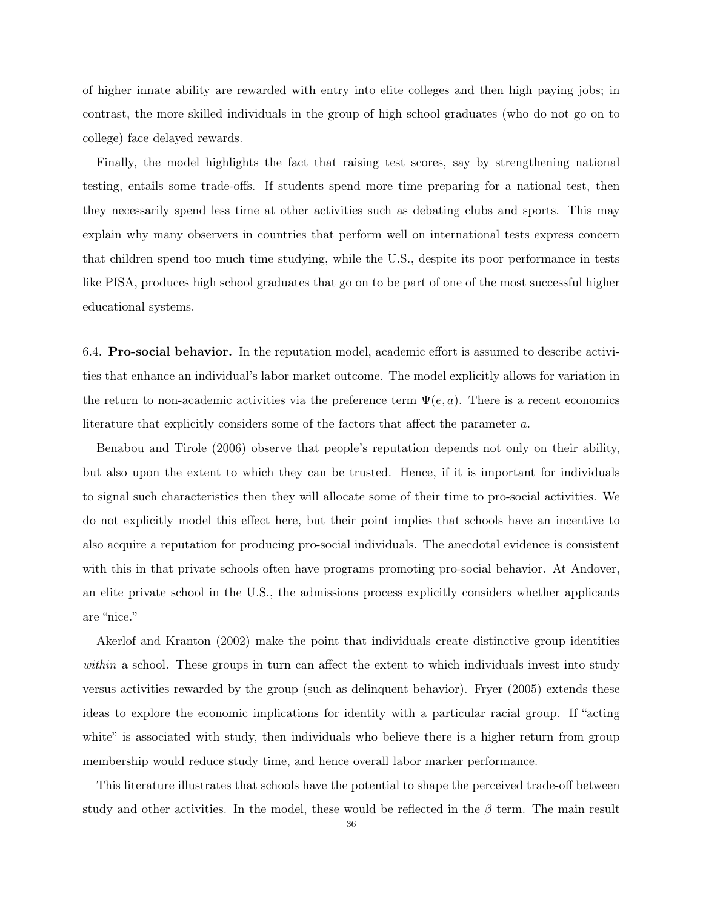of higher innate ability are rewarded with entry into elite colleges and then high paying jobs; in contrast, the more skilled individuals in the group of high school graduates (who do not go on to college) face delayed rewards.

Finally, the model highlights the fact that raising test scores, say by strengthening national testing, entails some trade-offs. If students spend more time preparing for a national test, then they necessarily spend less time at other activities such as debating clubs and sports. This may explain why many observers in countries that perform well on international tests express concern that children spend too much time studying, while the U.S., despite its poor performance in tests like PISA, produces high school graduates that go on to be part of one of the most successful higher educational systems.

6.4. Pro-social behavior. In the reputation model, academic effort is assumed to describe activities that enhance an individual's labor market outcome. The model explicitly allows for variation in the return to non-academic activities via the preference term  $\Psi(e, a)$ . There is a recent economics literature that explicitly considers some of the factors that affect the parameter a.

Benabou and Tirole (2006) observe that people's reputation depends not only on their ability, but also upon the extent to which they can be trusted. Hence, if it is important for individuals to signal such characteristics then they will allocate some of their time to pro-social activities. We do not explicitly model this effect here, but their point implies that schools have an incentive to also acquire a reputation for producing pro-social individuals. The anecdotal evidence is consistent with this in that private schools often have programs promoting pro-social behavior. At Andover, an elite private school in the U.S., the admissions process explicitly considers whether applicants are "nice."

Akerlof and Kranton (2002) make the point that individuals create distinctive group identities *within* a school. These groups in turn can affect the extent to which individuals invest into study versus activities rewarded by the group (such as delinquent behavior). Fryer (2005) extends these ideas to explore the economic implications for identity with a particular racial group. If "acting white" is associated with study, then individuals who believe there is a higher return from group membership would reduce study time, and hence overall labor marker performance.

This literature illustrates that schools have the potential to shape the perceived trade-off between study and other activities. In the model, these would be reflected in the  $\beta$  term. The main result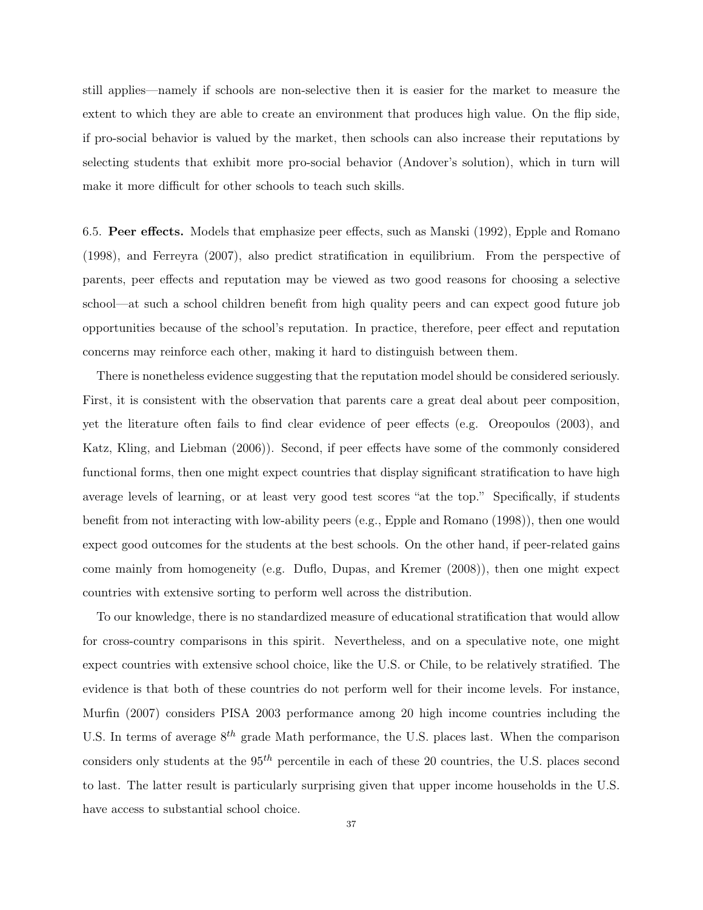still applies—namely if schools are non-selective then it is easier for the market to measure the extent to which they are able to create an environment that produces high value. On the flip side, if pro-social behavior is valued by the market, then schools can also increase their reputations by selecting students that exhibit more pro-social behavior (Andover's solution), which in turn will make it more difficult for other schools to teach such skills.

6.5. Peer effects. Models that emphasize peer effects, such as Manski (1992), Epple and Romano (1998), and Ferreyra (2007), also predict stratification in equilibrium. From the perspective of parents, peer effects and reputation may be viewed as two good reasons for choosing a selective school—at such a school children benefit from high quality peers and can expect good future job opportunities because of the school's reputation. In practice, therefore, peer effect and reputation concerns may reinforce each other, making it hard to distinguish between them.

There is nonetheless evidence suggesting that the reputation model should be considered seriously. First, it is consistent with the observation that parents care a great deal about peer composition, yet the literature often fails to find clear evidence of peer effects (e.g. Oreopoulos (2003), and Katz, Kling, and Liebman (2006)). Second, if peer effects have some of the commonly considered functional forms, then one might expect countries that display significant stratification to have high average levels of learning, or at least very good test scores "at the top." Specifically, if students benefit from not interacting with low-ability peers (e.g., Epple and Romano (1998)), then one would expect good outcomes for the students at the best schools. On the other hand, if peer-related gains come mainly from homogeneity (e.g. Duflo, Dupas, and Kremer (2008)), then one might expect countries with extensive sorting to perform well across the distribution.

To our knowledge, there is no standardized measure of educational stratification that would allow for cross-country comparisons in this spirit. Nevertheless, and on a speculative note, one might expect countries with extensive school choice, like the U.S. or Chile, to be relatively stratified. The evidence is that both of these countries do not perform well for their income levels. For instance, Murfin (2007) considers PISA 2003 performance among 20 high income countries including the U.S. In terms of average  $8^{th}$  grade Math performance, the U.S. places last. When the comparison considers only students at the  $95<sup>th</sup>$  percentile in each of these 20 countries, the U.S. places second to last. The latter result is particularly surprising given that upper income households in the U.S. have access to substantial school choice.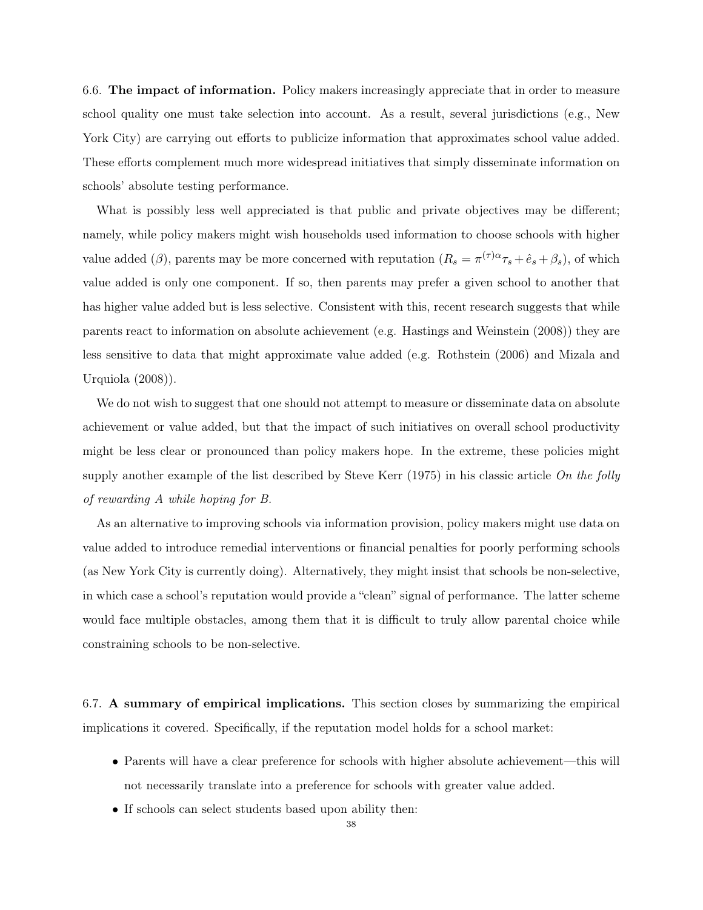6.6. The impact of information. Policy makers increasingly appreciate that in order to measure school quality one must take selection into account. As a result, several jurisdictions (e.g., New York City) are carrying out efforts to publicize information that approximates school value added. These efforts complement much more widespread initiatives that simply disseminate information on schools' absolute testing performance.

What is possibly less well appreciated is that public and private objectives may be different; namely, while policy makers might wish households used information to choose schools with higher value added ( $\beta$ ), parents may be more concerned with reputation  $(R_s = \pi^{(\tau)\alpha}\tau_s + \hat{e}_s + \beta_s)$ , of which value added is only one component. If so, then parents may prefer a given school to another that has higher value added but is less selective. Consistent with this, recent research suggests that while parents react to information on absolute achievement (e.g. Hastings and Weinstein (2008)) they are less sensitive to data that might approximate value added (e.g. Rothstein (2006) and Mizala and Urquiola (2008)).

We do not wish to suggest that one should not attempt to measure or disseminate data on absolute achievement or value added, but that the impact of such initiatives on overall school productivity might be less clear or pronounced than policy makers hope. In the extreme, these policies might supply another example of the list described by Steve Kerr (1975) in his classic article *On the folly of rewarding A while hoping for B.*

As an alternative to improving schools via information provision, policy makers might use data on value added to introduce remedial interventions or financial penalties for poorly performing schools (as New York City is currently doing). Alternatively, they might insist that schools be non-selective, in which case a school's reputation would provide a "clean" signal of performance. The latter scheme would face multiple obstacles, among them that it is difficult to truly allow parental choice while constraining schools to be non-selective.

6.7. A summary of empirical implications. This section closes by summarizing the empirical implications it covered. Specifically, if the reputation model holds for a school market:

- Parents will have a clear preference for schools with higher absolute achievement—this will not necessarily translate into a preference for schools with greater value added.
- If schools can select students based upon ability then: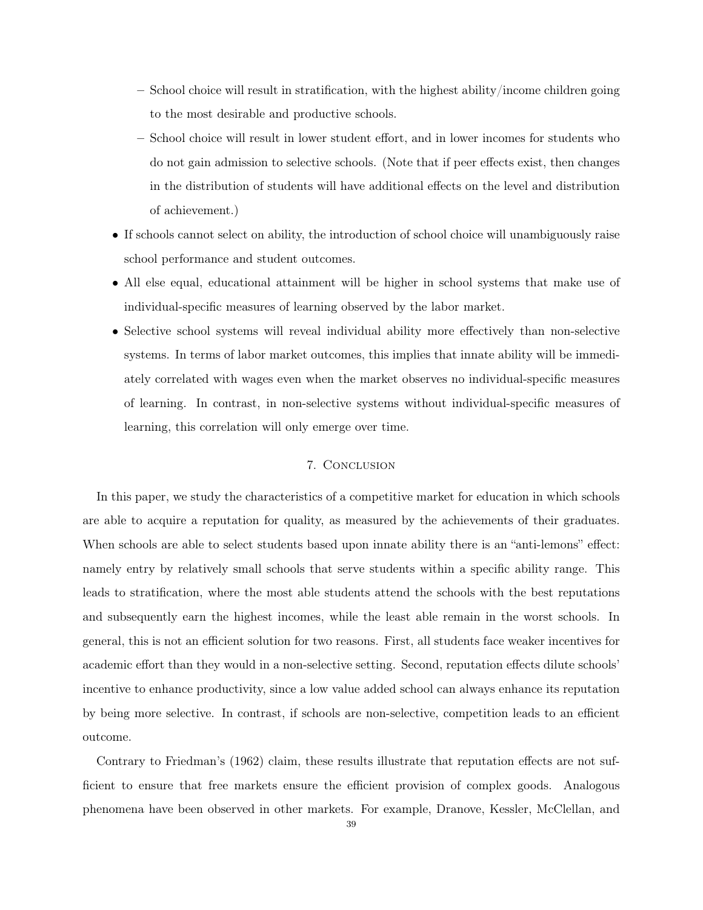- School choice will result in stratification, with the highest ability/income children going to the most desirable and productive schools.
- School choice will result in lower student effort, and in lower incomes for students who do not gain admission to selective schools. (Note that if peer effects exist, then changes in the distribution of students will have additional effects on the level and distribution of achievement.)
- If schools cannot select on ability, the introduction of school choice will unambiguously raise school performance and student outcomes.
- All else equal, educational attainment will be higher in school systems that make use of individual-specific measures of learning observed by the labor market.
- Selective school systems will reveal individual ability more effectively than non-selective systems. In terms of labor market outcomes, this implies that innate ability will be immediately correlated with wages even when the market observes no individual-specific measures of learning. In contrast, in non-selective systems without individual-specific measures of learning, this correlation will only emerge over time.

## 7. Conclusion

In this paper, we study the characteristics of a competitive market for education in which schools are able to acquire a reputation for quality, as measured by the achievements of their graduates. When schools are able to select students based upon innate ability there is an "anti-lemons" effect: namely entry by relatively small schools that serve students within a specific ability range. This leads to stratification, where the most able students attend the schools with the best reputations and subsequently earn the highest incomes, while the least able remain in the worst schools. In general, this is not an efficient solution for two reasons. First, all students face weaker incentives for academic effort than they would in a non-selective setting. Second, reputation effects dilute schools' incentive to enhance productivity, since a low value added school can always enhance its reputation by being more selective. In contrast, if schools are non-selective, competition leads to an efficient outcome.

Contrary to Friedman's (1962) claim, these results illustrate that reputation effects are not sufficient to ensure that free markets ensure the efficient provision of complex goods. Analogous phenomena have been observed in other markets. For example, Dranove, Kessler, McClellan, and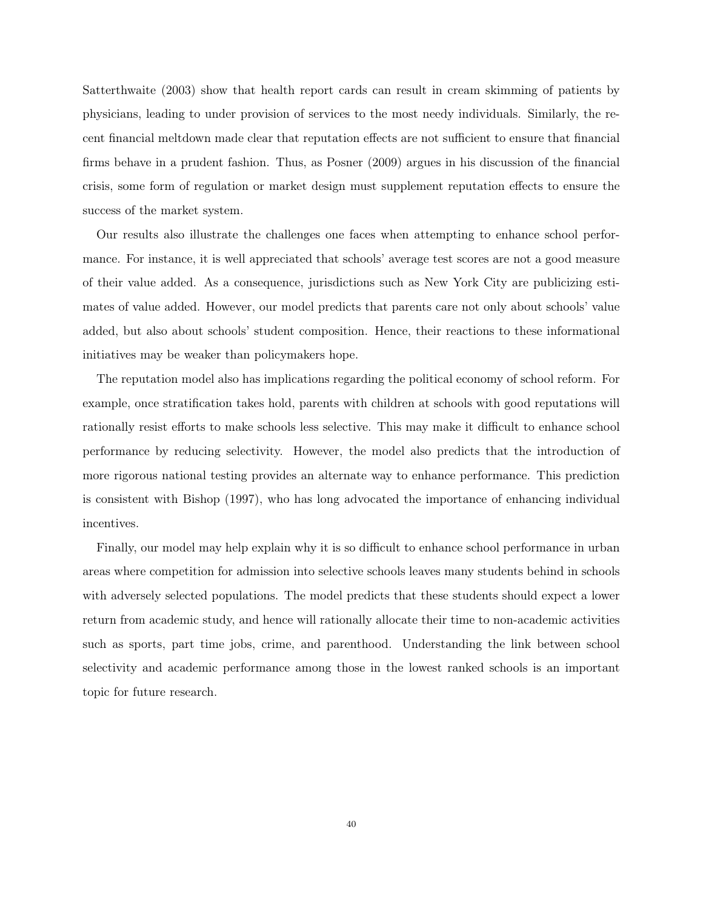Satterthwaite (2003) show that health report cards can result in cream skimming of patients by physicians, leading to under provision of services to the most needy individuals. Similarly, the recent financial meltdown made clear that reputation effects are not sufficient to ensure that financial firms behave in a prudent fashion. Thus, as Posner (2009) argues in his discussion of the financial crisis, some form of regulation or market design must supplement reputation effects to ensure the success of the market system.

Our results also illustrate the challenges one faces when attempting to enhance school performance. For instance, it is well appreciated that schools' average test scores are not a good measure of their value added. As a consequence, jurisdictions such as New York City are publicizing estimates of value added. However, our model predicts that parents care not only about schools' value added, but also about schools' student composition. Hence, their reactions to these informational initiatives may be weaker than policymakers hope.

The reputation model also has implications regarding the political economy of school reform. For example, once stratification takes hold, parents with children at schools with good reputations will rationally resist efforts to make schools less selective. This may make it difficult to enhance school performance by reducing selectivity. However, the model also predicts that the introduction of more rigorous national testing provides an alternate way to enhance performance. This prediction is consistent with Bishop (1997), who has long advocated the importance of enhancing individual incentives.

Finally, our model may help explain why it is so difficult to enhance school performance in urban areas where competition for admission into selective schools leaves many students behind in schools with adversely selected populations. The model predicts that these students should expect a lower return from academic study, and hence will rationally allocate their time to non-academic activities such as sports, part time jobs, crime, and parenthood. Understanding the link between school selectivity and academic performance among those in the lowest ranked schools is an important topic for future research.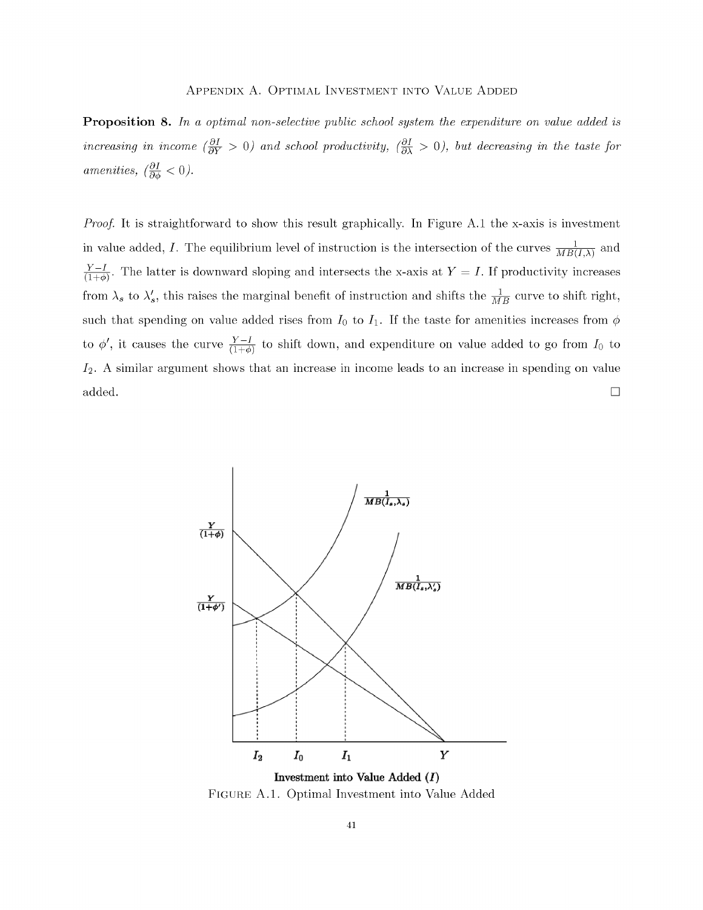## APPENDIX A. OPTIMAL INVESTMENT INTO VALUE ADDED

**Proposition 8.** In a optimal non-selective public school system the expenditure on value added is increasing in income  $\left(\frac{\partial I}{\partial Y} > 0\right)$  and school productivity,  $\left(\frac{\partial I}{\partial \lambda} > 0\right)$ , but decreasing in the taste for amenities,  $\left(\frac{\partial I}{\partial \phi} < 0\right)$ .

*Proof.* It is straightforward to show this result graphically. In Figure A.1 the x-axis is investment in value added, I. The equilibrium level of instruction is the intersection of the curves  $\frac{1}{MB(I,\lambda)}$  and  $\frac{Y-I}{(1+\phi)}$ . The latter is downward sloping and intersects the x-axis at  $Y = I$ . If productivity increases from  $\lambda_s$  to  $\lambda'_s$ , this raises the marginal benefit of instruction and shifts the  $\frac{1}{MB}$  curve to shift right, such that spending on value added rises from  $I_0$  to  $I_1$ . If the taste for amenities increases from  $\phi$ to  $\phi'$ , it causes the curve  $\frac{Y-I}{(1+\phi)}$  to shift down, and expenditure on value added to go from  $I_0$  to  $I_2$ . A similar argument shows that an increase in income leads to an increase in spending on value  $\Box$ added.



FIGURE A.1. Optimal Investment into Value Added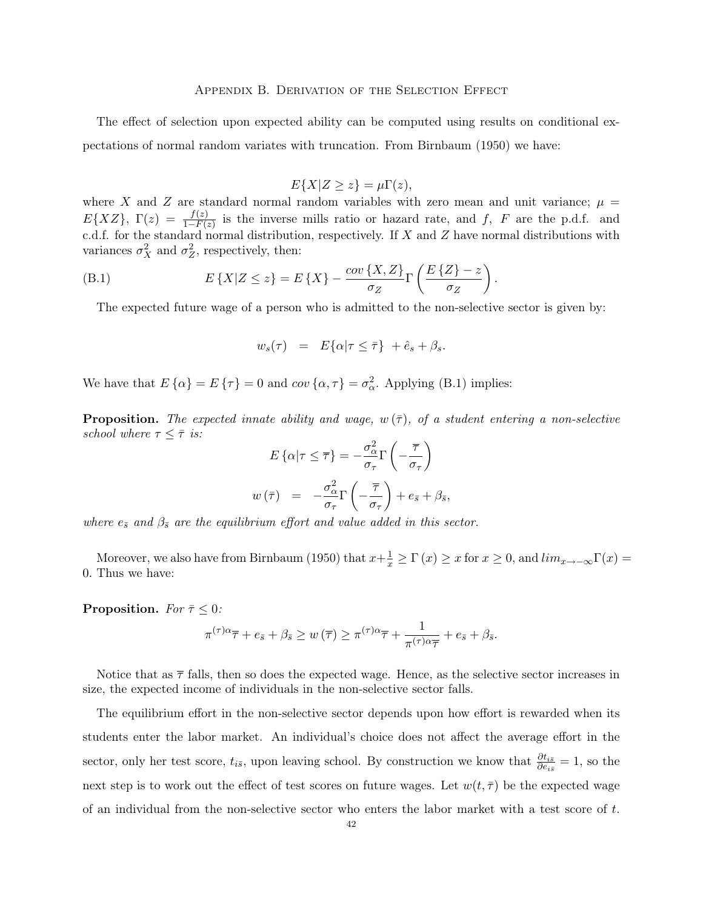#### Appendix B. Derivation of the Selection Effect

The effect of selection upon expected ability can be computed using results on conditional expectations of normal random variates with truncation. From Birnbaum (1950) we have:

$$
E\{X|Z\geq z\}=\mu\Gamma(z),
$$

where X and Z are standard normal random variables with zero mean and unit variance;  $\mu =$  $E{XZ}, \Gamma(z) = \frac{f(z)}{1 - F(z)}$  $\frac{f(z)}{1-F(z)}$  is the inverse mills ratio or hazard rate, and f, F are the p.d.f. and c.d.f. for the standard normal distribution, respectively. If  $X$  and  $Z$  have normal distributions with variances  $\sigma_X^2$  and  $\sigma_Z^2$ , respectively, then:

(B.1) 
$$
E\left\{X|Z \leq z\right\} = E\left\{X\right\} - \frac{\operatorname{cov}\left\{X, Z\right\}}{\sigma_Z} \Gamma\left(\frac{E\left\{Z\right\} - z}{\sigma_Z}\right)
$$

The expected future wage of a person who is admitted to the non-selective sector is given by:

.

$$
w_s(\tau) = E\{\alpha | \tau \leq \bar{\tau}\} + \hat{e}_s + \beta_s.
$$

We have that  $E\{\alpha\} = E\{\tau\} = 0$  and  $cov\{\alpha, \tau\} = \sigma_{\alpha}^2$ . Applying (B.1) implies:

**Proposition.** The expected innate ability and wage,  $w(\bar{\tau})$ , of a student entering a non-selective *school* where  $\tau \leq \overline{\tau}$  *is:* 

$$
E\left\{\alpha|\tau \leq \overline{\tau}\right\} = -\frac{\sigma_{\alpha}^2}{\sigma_{\tau}}\Gamma\left(-\frac{\overline{\tau}}{\sigma_{\tau}}\right)
$$

$$
w(\overline{\tau}) = -\frac{\sigma_{\alpha}^2}{\sigma_{\tau}}\Gamma\left(-\frac{\overline{\tau}}{\sigma_{\tau}}\right) + e_{\overline{s}} + \beta_{\overline{s}},
$$

*where*  $e_{\bar{s}}$  *and*  $\beta_{\bar{s}}$  *are the equilibrium effort and value added in this sector.* 

Moreover, we also have from Birnbaum (1950) that  $x+\frac{1}{x} \ge \Gamma(x) \ge x$  for  $x \ge 0$ , and  $\lim_{x \to -\infty} \Gamma(x) =$ 0. Thus we have:

**Proposition.** *For*  $\bar{\tau} \leq 0$ *:* 

$$
\pi^{(\tau)\alpha}\overline{\tau} + e_{\bar{s}} + \beta_{\bar{s}} \ge w(\overline{\tau}) \ge \pi^{(\tau)\alpha}\overline{\tau} + \frac{1}{\pi^{(\tau)\alpha}\overline{\tau}} + e_{\bar{s}} + \beta_{\bar{s}}.
$$

Notice that as  $\bar{\tau}$  falls, then so does the expected wage. Hence, as the selective sector increases in size, the expected income of individuals in the non-selective sector falls.

The equilibrium effort in the non-selective sector depends upon how effort is rewarded when its students enter the labor market. An individual's choice does not affect the average effort in the sector, only her test score,  $t_{i\bar{s}}$ , upon leaving school. By construction we know that  $\frac{\partial t_{i\bar{s}}}{\partial e_{i\bar{s}}} = 1$ , so the next step is to work out the effect of test scores on future wages. Let  $w(t, \overline{\tau})$  be the expected wage of an individual from the non-selective sector who enters the labor market with a test score of  $t$ .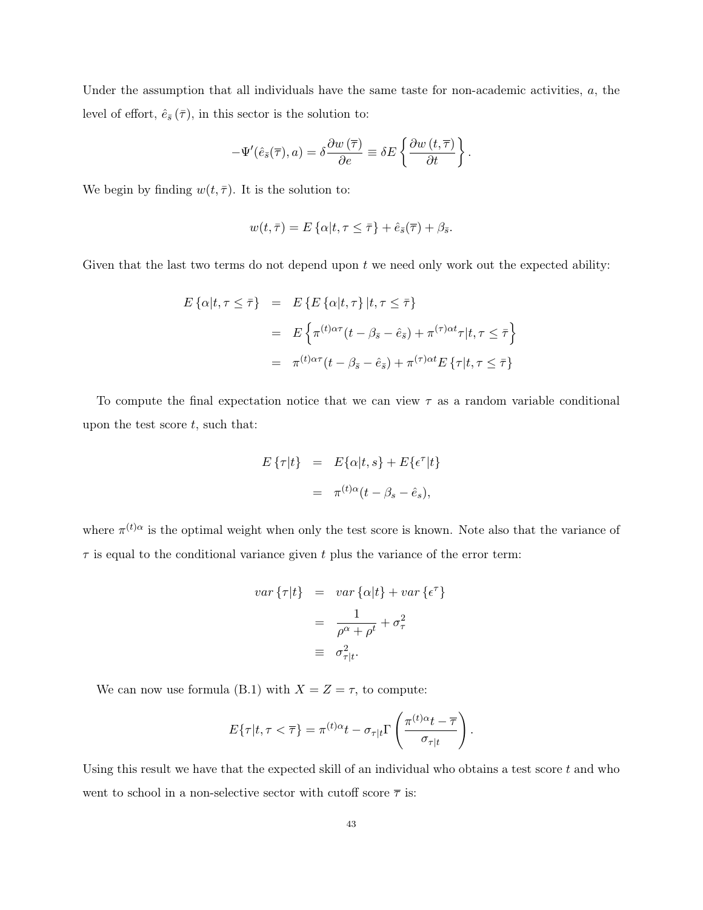Under the assumption that all individuals have the same taste for non-academic activities,  $a$ , the level of effort,  $\hat{e}_{\bar{s}}(\bar{\tau})$ , in this sector is the solution to:

$$
-\Psi'(\hat{e}_{\bar{s}}(\overline{\tau}),a) = \delta \frac{\partial w(\overline{\tau})}{\partial e} \equiv \delta E \left\{ \frac{\partial w(t,\overline{\tau})}{\partial t} \right\}.
$$

We begin by finding  $w(t, \overline{\tau})$ . It is the solution to:

$$
w(t,\overline{\tau})=E\left\{\alpha|t,\tau\leq\overline{\tau}\right\}+\hat{e}_{\overline{s}}(\overline{\tau})+\beta_{\overline{s}}.
$$

Given that the last two terms do not depend upon  $t$  we need only work out the expected ability:

$$
E\{\alpha|t,\tau \leq \bar{\tau}\} = E\{E\{\alpha|t,\tau\}|t,\tau \leq \bar{\tau}\}
$$
  

$$
= E\{\pi^{(t)\alpha\tau}(t-\beta_{\bar{s}}-\hat{e}_{\bar{s}}) + \pi^{(\tau)\alpha t}\tau|t,\tau \leq \bar{\tau}\}
$$
  

$$
= \pi^{(t)\alpha\tau}(t-\beta_{\bar{s}}-\hat{e}_{\bar{s}}) + \pi^{(\tau)\alpha t}E\{\tau|t,\tau \leq \bar{\tau}\}
$$

To compute the final expectation notice that we can view  $\tau$  as a random variable conditional upon the test score  $t$ , such that:

$$
E\{\tau|t\} = E\{\alpha|t,s\} + E\{\epsilon^{\tau}|t\}
$$

$$
= \pi^{(t)\alpha}(t - \beta_s - \hat{e}_s),
$$

where  $\pi^{(t)}$ <sup> $\alpha$ </sup> is the optimal weight when only the test score is known. Note also that the variance of  $\tau$  is equal to the conditional variance given t plus the variance of the error term:

$$
var\left\{\tau|t\right\} = var\left\{\alpha|t\right\} + var\left\{\epsilon^{\tau}\right\}
$$

$$
= \frac{1}{\rho^{\alpha} + \rho^{t}} + \sigma_{\tau}^{2}
$$

$$
= \sigma_{\tau|t}^{2}.
$$

We can now use formula (B.1) with  $X = Z = \tau$ , to compute:

$$
E\{\tau|t,\tau<\overline{\tau}\}=\pi^{(t)\alpha}t-\sigma_{\tau|t}\Gamma\left(\frac{\pi^{(t)\alpha}t-\overline{\tau}}{\sigma_{\tau|t}}\right).
$$

Using this result we have that the expected skill of an individual who obtains a test score  $t$  and who went to school in a non-selective sector with cutoff score  $\bar{\tau}$  is: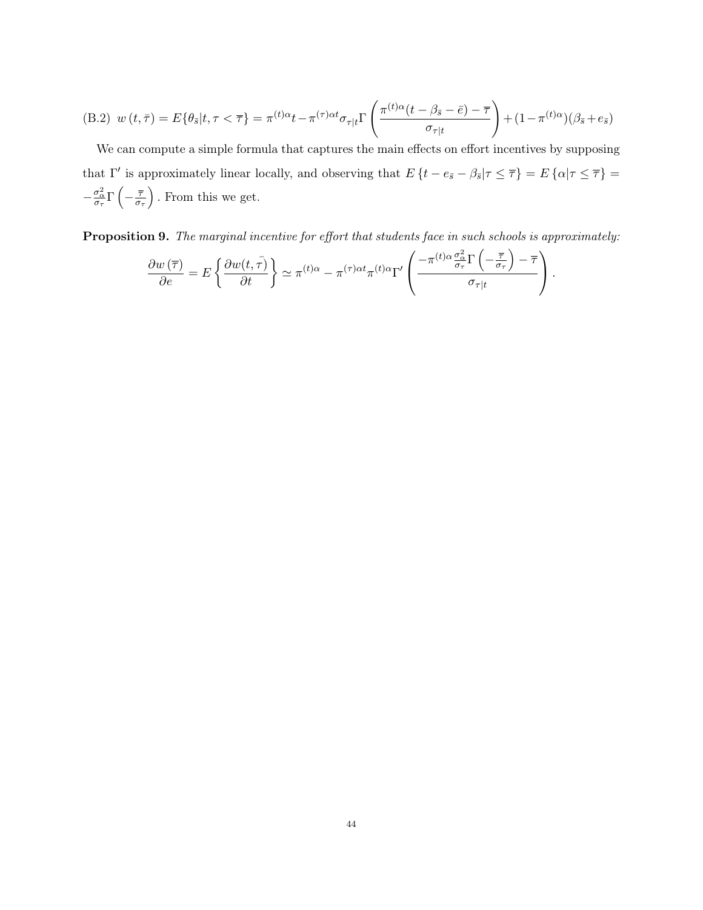(B.2) 
$$
w(t,\bar{\tau}) = E\{\theta_{\bar{s}}|t,\tau < \bar{\tau}\} = \pi^{(t)\alpha}t - \pi^{(\tau)\alpha t}\sigma_{\tau|t}\Gamma\left(\frac{\pi^{(t)\alpha}(t-\beta_{\bar{s}}-\bar{e})-\bar{\tau}}{\sigma_{\tau|t}}\right) + (1-\pi^{(t)\alpha})(\beta_{\bar{s}}+e_{\bar{s}})
$$

We can compute a simple formula that captures the main effects on effort incentives by supposing that  $\Gamma'$  is approximately linear locally, and observing that  $E\left\{t - e_{\bar{s}} - \beta_{\bar{s}} | \tau \leq \overline{\tau}\right\} = E\left\{\alpha | \tau \leq \overline{\tau}\right\} =$  $-\frac{\sigma_{\alpha}^2}{\sigma_{\tau}}\Gamma\left(-\frac{\overline{\tau}}{\sigma_{\tau}}\right)$  $\left(\frac{\overline{\tau}}{\sigma_{\tau}}\right)$ . From this we get.

Proposition 9. *The marginal incentive for effort that students face in such schools is approximately:*

$$
\frac{\partial w(\overline{\tau})}{\partial e} = E \left\{ \frac{\partial w(t, \overline{\tau})}{\partial t} \right\} \simeq \pi^{(t)\alpha} - \pi^{(\tau)\alpha t} \pi^{(t)\alpha} \Gamma' \left( \frac{-\pi^{(t)\alpha} \frac{\sigma_{\alpha}^2}{\sigma_{\tau}} \Gamma\left(-\frac{\overline{\tau}}{\sigma_{\tau}}\right) - \overline{\tau}}{\sigma_{\tau|t}} \right).
$$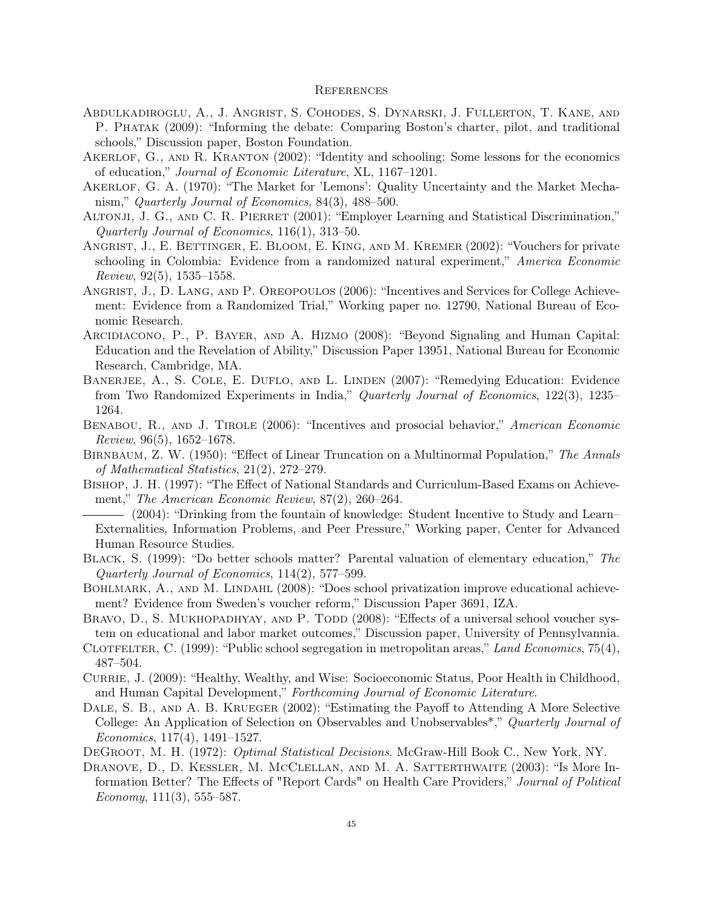#### **REFERENCES**

- Abdulkadiroglu, A., J. Angrist, S. Cohodes, S. Dynarski, J. Fullerton, T. Kane, and P. Phatak (2009): "Informing the debate: Comparing Boston's charter, pilot, and traditional schools," Discussion paper, Boston Foundation.
- Akerlof, G., and R. Kranton (2002): "Identity and schooling: Some lessons for the economics of education," *Journal of Economic Literature*, XL, 1167–1201.
- Akerlof, G. A. (1970): "The Market for 'Lemons': Quality Uncertainty and the Market Mechanism," *Quarterly Journal of Economics*, 84(3), 488–500.
- ALTONJI, J. G., AND C. R. PIERRET (2001): "Employer Learning and Statistical Discrimination," *Quarterly Journal of Economics*, 116(1), 313–50.
- Angrist, J., E. Bettinger, E. Bloom, E. King, and M. Kremer (2002): "Vouchers for private schooling in Colombia: Evidence from a randomized natural experiment," *America Economic Review*, 92(5), 1535–1558.
- Angrist, J., D. Lang, and P. Oreopoulos (2006): "Incentives and Services for College Achievement: Evidence from a Randomized Trial," Working paper no. 12790, National Bureau of Economic Research.
- Arcidiacono, P., P. Bayer, and A. Hizmo (2008): "Beyond Signaling and Human Capital: Education and the Revelation of Ability," Discussion Paper 13951, National Bureau for Economic Research, Cambridge, MA.
- BANERJEE, A., S. COLE, E. DUFLO, AND L. LINDEN (2007): "Remedying Education: Evidence from Two Randomized Experiments in India," *Quarterly Journal of Economics*, 122(3), 1235– 1264.
- Benabou, R., and J. Tirole (2006): "Incentives and prosocial behavior," *American Economic Review*, 96(5), 1652–1678.
- Birnbaum, Z. W. (1950): "Effect of Linear Truncation on a Multinormal Population," *The Annals of Mathematical Statistics*, 21(2), 272–279.
- Bishop, J. H. (1997): "The Effect of National Standards and Curriculum-Based Exams on Achievement," *The American Economic Review*, 87(2), 260–264.
- (2004): "Drinking from the fountain of knowledge: Student Incentive to Study and Learn– Externalities, Information Problems, and Peer Pressure," Working paper, Center for Advanced Human Resource Studies.
- Black, S. (1999): "Do better schools matter? Parental valuation of elementary education," *The Quarterly Journal of Economics*, 114(2), 577–599.
- BOHLMARK, A., AND M. LINDAHL (2008): "Does school privatization improve educational achievement? Evidence from Sweden's voucher reform," Discussion Paper 3691, IZA.
- BRAVO, D., S. MUKHOPADHYAY, AND P. TODD (2008): "Effects of a universal school voucher system on educational and labor market outcomes," Discussion paper, University of Pennsylvannia.
- Clotfelter, C. (1999): "Public school segregation in metropolitan areas," *Land Economics*, 75(4), 487–504.
- CURRIE, J. (2009): "Healthy, Wealthy, and Wise: Socioeconomic Status, Poor Health in Childhood, and Human Capital Development," *Forthcoming Journal of Economic Literature*.
- DALE, S. B., AND A. B. KRUEGER (2002): "Estimating the Payoff to Attending A More Selective College: An Application of Selection on Observables and Unobservables\*," *Quarterly Journal of Economics*, 117(4), 1491–1527.
- DeGroot, M. H. (1972): *Optimal Statistical Decisions*. McGraw-Hill Book C., New York, NY.
- DRANOVE, D., D. KESSLER, M. MCCLELLAN, AND M. A. SATTERTHWAITE (2003): "Is More Information Better? The Effects of "Report Cards" on Health Care Providers," *Journal of Political Economy*, 111(3), 555–587.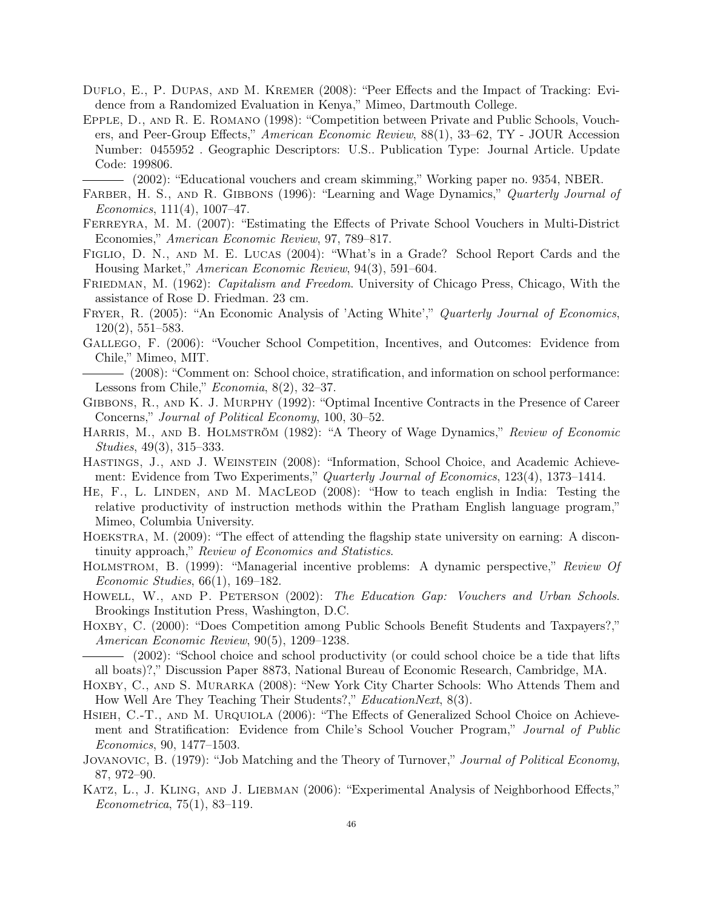- Duflo, E., P. Dupas, and M. Kremer (2008): "Peer Effects and the Impact of Tracking: Evidence from a Randomized Evaluation in Kenya," Mimeo, Dartmouth College.
- Epple, D., and R. E. Romano (1998): "Competition between Private and Public Schools, Vouchers, and Peer-Group Effects," *American Economic Review*, 88(1), 33–62, TY - JOUR Accession Number: 0455952 . Geographic Descriptors: U.S.. Publication Type: Journal Article. Update Code: 199806.

(2002): "Educational vouchers and cream skimming," Working paper no. 9354, NBER.

- Farber, H. S., and R. Gibbons (1996): "Learning and Wage Dynamics," *Quarterly Journal of Economics*, 111(4), 1007–47.
- FERREYRA, M. M. (2007): "Estimating the Effects of Private School Vouchers in Multi-District Economies," *American Economic Review*, 97, 789–817.
- FIGLIO, D. N., AND M. E. LUCAS (2004): "What's in a Grade? School Report Cards and the Housing Market," *American Economic Review*, 94(3), 591–604.
- Friedman, M. (1962): *Capitalism and Freedom*. University of Chicago Press, Chicago, With the assistance of Rose D. Friedman. 23 cm.
- Fryer, R. (2005): "An Economic Analysis of 'Acting White'," *Quarterly Journal of Economics*, 120(2), 551–583.
- Gallego, F. (2006): "Voucher School Competition, Incentives, and Outcomes: Evidence from Chile," Mimeo, MIT.
- (2008): "Comment on: School choice, stratification, and information on school performance: Lessons from Chile," *Economia*, 8(2), 32–37.
- Gibbons, R., and K. J. Murphy (1992): "Optimal Incentive Contracts in the Presence of Career Concerns," *Journal of Political Economy*, 100, 30–52.
- Harris, M., and B. Holmström (1982): "A Theory of Wage Dynamics," *Review of Economic Studies*, 49(3), 315–333.
- Hastings, J., and J. Weinstein (2008): "Information, School Choice, and Academic Achievement: Evidence from Two Experiments," *Quarterly Journal of Economics*, 123(4), 1373–1414.
- He, F., L. Linden, and M. MacLeod (2008): "How to teach english in India: Testing the relative productivity of instruction methods within the Pratham English language program," Mimeo, Columbia University.
- Hoekstra, M. (2009): "The effect of attending the flagship state university on earning: A discontinuity approach," *Review of Economics and Statistics*.
- Holmstrom, B. (1999): "Managerial incentive problems: A dynamic perspective," *Review Of Economic Studies*, 66(1), 169–182.
- Howell, W., and P. Peterson (2002): *The Education Gap: Vouchers and Urban Schools*. Brookings Institution Press, Washington, D.C.
- HOXBY, C. (2000): "Does Competition among Public Schools Benefit Students and Taxpayers?," *American Economic Review*, 90(5), 1209–1238.
- (2002): "School choice and school productivity (or could school choice be a tide that lifts all boats)?," Discussion Paper 8873, National Bureau of Economic Research, Cambridge, MA.
- HOXBY, C., AND S. MURARKA (2008): "New York City Charter Schools: Who Attends Them and How Well Are They Teaching Their Students?," *EducationNext*, 8(3).
- HSIEH, C.-T., AND M. URQUIOLA (2006): "The Effects of Generalized School Choice on Achievement and Stratification: Evidence from Chile's School Voucher Program," *Journal of Public Economics*, 90, 1477–1503.
- Jovanovic, B. (1979): "Job Matching and the Theory of Turnover," *Journal of Political Economy*, 87, 972–90.
- Katz, L., J. Kling, and J. Liebman (2006): "Experimental Analysis of Neighborhood Effects," *Econometrica*, 75(1), 83–119.